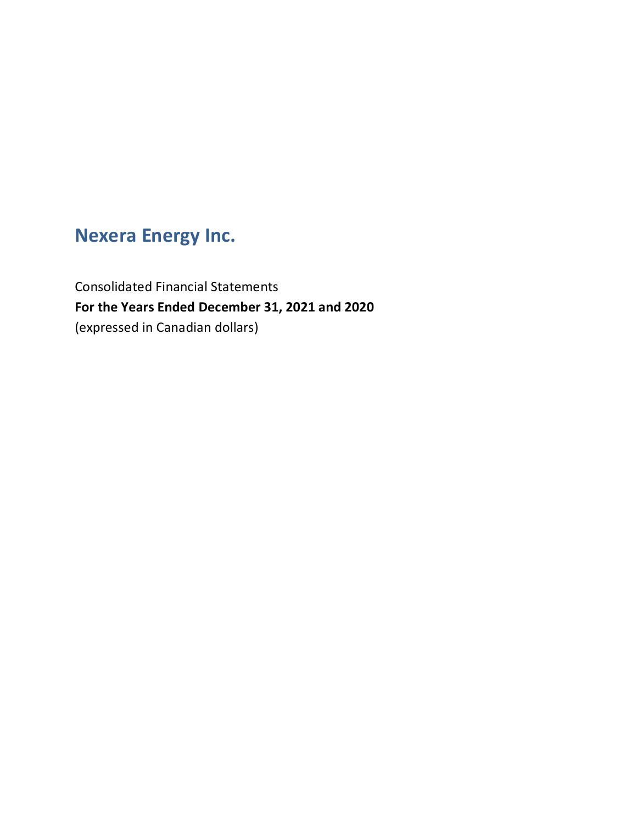Consolidated Financial Statements **For the Years Ended December 31, 2021 and 2020** (expressed in Canadian dollars)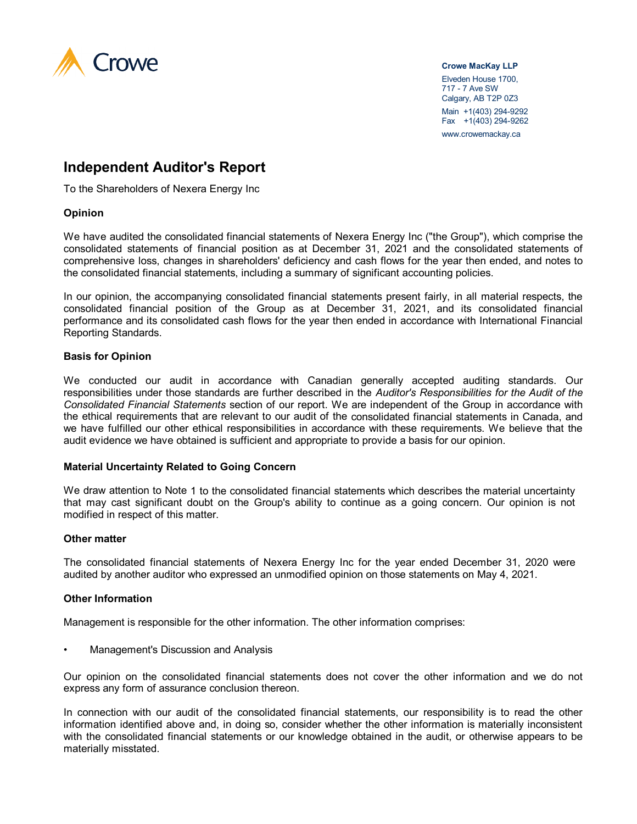

**Crowe MacKay LLP**

Elveden House 1700, 717 - 7 Ave SW Calgary, AB T2P 0Z3 Main +1(403) 294-9292 Fax +1(403) 294-9262 www.crowemackay.ca

## **Independent Auditor's Report**

To the Shareholders of Nexera Energy Inc

#### **Opinion**

We have audited the consolidated financial statements of Nexera Energy Inc ("the Group"), which comprise the consolidated statements of financial position as at December 31, 2021 and the consolidated statements of comprehensive loss, changes in shareholders' deficiency and cash flows for the year then ended, and notes to the consolidated financial statements, including a summary of significant accounting policies.

In our opinion, the accompanying consolidated financial statements present fairly, in all material respects, the consolidated financial position of the Group as at December 31, 2021, and its consolidated financial performance and its consolidated cash flows for the year then ended in accordance with International Financial Reporting Standards.

#### **Basis for Opinion**

We conducted our audit in accordance with Canadian generally accepted auditing standards. Our responsibilities under those standards are further described in the *Auditor's Responsibilities for the Audit of the Consolidated Financial Statements* section of our report. We are independent of the Group in accordance with the ethical requirements that are relevant to our audit of the consolidated financial statements in Canada, and we have fulfilled our other ethical responsibilities in accordance with these requirements. We believe that the audit evidence we have obtained is sufficient and appropriate to provide a basis for our opinion.

#### **Material Uncertainty Related to Going Concern**

We draw attention to Note 1 to the consolidated financial statements which describes the material uncertainty that may cast significant doubt on the Group's ability to continue as a going concern. Our opinion is not modified in respect of this matter.

#### **Other matter**

The consolidated financial statements of Nexera Energy Inc for the year ended December 31, 2020 were audited by another auditor who expressed an unmodified opinion on those statements on May 4, 2021.

#### **Other Information**

Management is responsible for the other information. The other information comprises:

• Management's Discussion and Analysis

Our opinion on the consolidated financial statements does not cover the other information and we do not express any form of assurance conclusion thereon.

In connection with our audit of the consolidated financial statements, our responsibility is to read the other information identified above and, in doing so, consider whether the other information is materially inconsistent with the consolidated financial statements or our knowledge obtained in the audit, or otherwise appears to be materially misstated.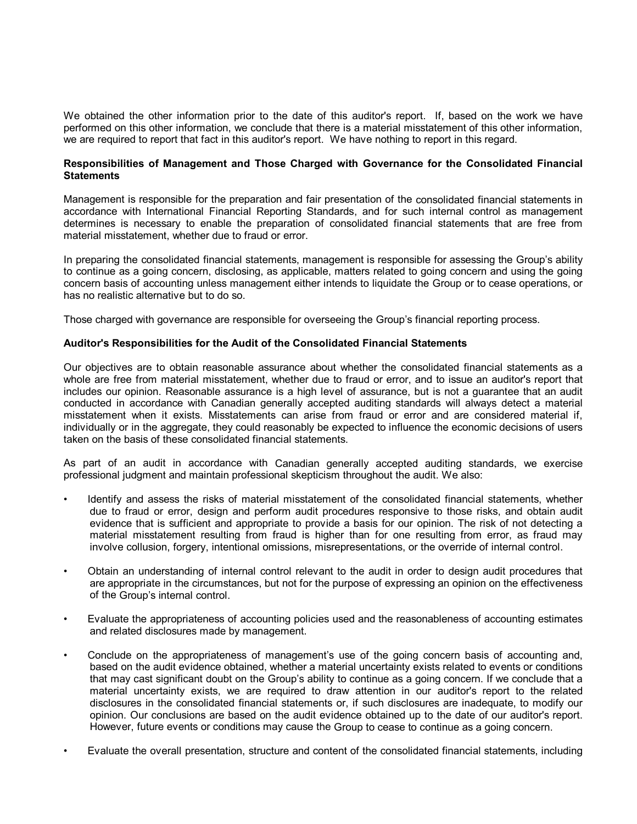We obtained the other information prior to the date of this auditor's report. If, based on the work we have performed on this other information, we conclude that there is a material misstatement of this other information, we are required to report that fact in this auditor's report. We have nothing to report in this regard.

#### **Responsibilities of Management and Those Charged with Governance for the Consolidated Financial Statements**

Management is responsible for the preparation and fair presentation of the consolidated financial statements in accordance with International Financial Reporting Standards, and for such internal control as management determines is necessary to enable the preparation of consolidated financial statements that are free from material misstatement, whether due to fraud or error.

In preparing the consolidated financial statements, management is responsible for assessing the Group's ability to continue as a going concern, disclosing, as applicable, matters related to going concern and using the going concern basis of accounting unless management either intends to liquidate the Group or to cease operations, or has no realistic alternative but to do so.

Those charged with governance are responsible for overseeing the Group's financial reporting process.

#### **Auditor's Responsibilities for the Audit of the Consolidated Financial Statements**

Our objectives are to obtain reasonable assurance about whether the consolidated financial statements as a whole are free from material misstatement, whether due to fraud or error, and to issue an auditor's report that includes our opinion. Reasonable assurance is a high level of assurance, but is not a guarantee that an audit conducted in accordance with Canadian generally accepted auditing standards will always detect a material misstatement when it exists. Misstatements can arise from fraud or error and are considered material if, individually or in the aggregate, they could reasonably be expected to influence the economic decisions of users taken on the basis of these consolidated financial statements.

As part of an audit in accordance with Canadian generally accepted auditing standards, we exercise professional judgment and maintain professional skepticism throughout the audit. We also:

- Identify and assess the risks of material misstatement of the consolidated financial statements, whether due to fraud or error, design and perform audit procedures responsive to those risks, and obtain audit evidence that is sufficient and appropriate to provide a basis for our opinion. The risk of not detecting a material misstatement resulting from fraud is higher than for one resulting from error, as fraud may involve collusion, forgery, intentional omissions, misrepresentations, or the override of internal control.
- Obtain an understanding of internal control relevant to the audit in order to design audit procedures that are appropriate in the circumstances, but not for the purpose of expressing an opinion on the effectiveness of the Group's internal control.
- Evaluate the appropriateness of accounting policies used and the reasonableness of accounting estimates and related disclosures made by management.
- Conclude on the appropriateness of management's use of the going concern basis of accounting and, based on the audit evidence obtained, whether a material uncertainty exists related to events or conditions that may cast significant doubt on the Group's ability to continue as a going concern. If we conclude that a material uncertainty exists, we are required to draw attention in our auditor's report to the related disclosures in the consolidated financial statements or, if such disclosures are inadequate, to modify our opinion. Our conclusions are based on the audit evidence obtained up to the date of our auditor's report. However, future events or conditions may cause the Group to cease to continue as a going concern.
- Evaluate the overall presentation, structure and content of the consolidated financial statements, including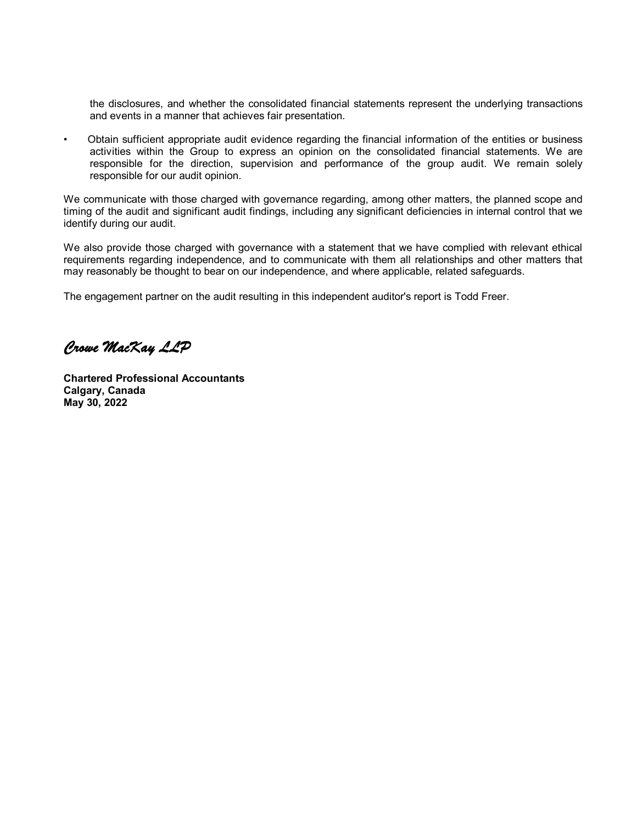the disclosures, and whether the consolidated financial statements represent the underlying transactions and events in a manner that achieves fair presentation.

• Obtain sufficient appropriate audit evidence regarding the financial information of the entities or business activities within the Group to express an opinion on the consolidated financial statements. We are responsible for the direction, supervision and performance of the group audit. We remain solely responsible for our audit opinion.

We communicate with those charged with governance regarding, among other matters, the planned scope and timing of the audit and significant audit findings, including any significant deficiencies in internal control that we identify during our audit.

We also provide those charged with governance with a statement that we have complied with relevant ethical requirements regarding independence, and to communicate with them all relationships and other matters that may reasonably be thought to bear on our independence, and where applicable, related safeguards.

The engagement partner on the audit resulting in this independent auditor's report is Todd Freer.

*Crowe MacKay LLP*

**Chartered Professional Accountants Calgary, Canada May 30, 2022**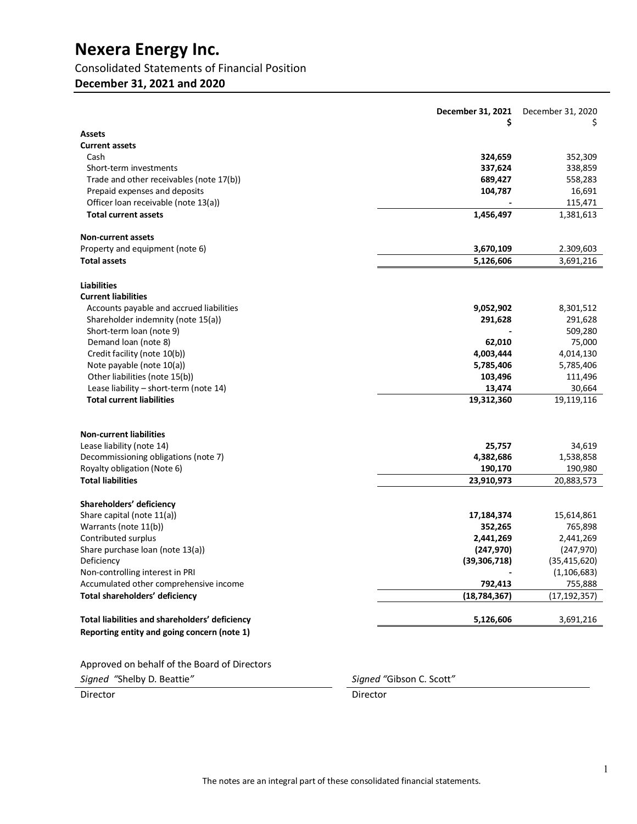## Consolidated Statements of Financial Position

**December 31, 2021 and 2020**

|                                                                            | December 31, 2021        | December 31, 2020    |
|----------------------------------------------------------------------------|--------------------------|----------------------|
|                                                                            | \$                       | \$                   |
| <b>Assets</b>                                                              |                          |                      |
| <b>Current assets</b>                                                      |                          |                      |
| Cash                                                                       | 324,659                  | 352,309              |
| Short-term investments                                                     | 337,624                  | 338,859              |
| Trade and other receivables (note 17(b))                                   | 689,427                  | 558,283              |
| Prepaid expenses and deposits                                              | 104,787                  | 16,691               |
| Officer Ioan receivable (note 13(a))                                       |                          | 115,471              |
| <b>Total current assets</b>                                                | 1,456,497                | 1,381,613            |
| <b>Non-current assets</b>                                                  |                          |                      |
| Property and equipment (note 6)                                            | 3,670,109                | 2.309,603            |
| <b>Total assets</b>                                                        | 5,126,606                | 3,691,216            |
| <b>Liabilities</b>                                                         |                          |                      |
| <b>Current liabilities</b>                                                 |                          |                      |
| Accounts payable and accrued liabilities                                   | 9,052,902                | 8,301,512            |
| Shareholder indemnity (note 15(a))                                         | 291,628                  | 291,628              |
| Short-term loan (note 9)                                                   |                          | 509,280              |
| Demand loan (note 8)                                                       | 62,010                   | 75,000               |
| Credit facility (note 10(b))                                               | 4,003,444                | 4,014,130            |
| Note payable (note 10(a))                                                  | 5,785,406                | 5,785,406            |
| Other liabilities (note 15(b))                                             | 103,496                  | 111,496              |
| Lease liability - short-term (note 14)<br><b>Total current liabilities</b> | 13,474<br>19,312,360     | 30,664<br>19,119,116 |
|                                                                            |                          |                      |
| <b>Non-current liabilities</b>                                             |                          |                      |
| Lease liability (note 14)                                                  | 25,757                   | 34,619               |
| Decommissioning obligations (note 7)                                       | 4,382,686                | 1,538,858            |
| Royalty obligation (Note 6)                                                | 190,170                  | 190,980              |
| <b>Total liabilities</b>                                                   | 23,910,973               | 20,883,573           |
| Shareholders' deficiency                                                   |                          |                      |
| Share capital (note 11(a))                                                 | 17,184,374               | 15,614,861           |
| Warrants (note 11(b))                                                      | 352,265                  | 765,898              |
| Contributed surplus                                                        | 2,441,269                | 2,441,269            |
| Share purchase loan (note 13(a))                                           | (247, 970)               | (247, 970)           |
| Deficiency                                                                 | (39, 306, 718)           | (35, 415, 620)       |
| Non-controlling interest in PRI                                            |                          | (1, 106, 683)        |
| Accumulated other comprehensive income                                     | 792,413                  | 755,888              |
| Total shareholders' deficiency                                             | (18, 784, 367)           | (17, 192, 357)       |
| Total liabilities and shareholders' deficiency                             | 5,126,606                | 3,691,216            |
| Reporting entity and going concern (note 1)                                |                          |                      |
| Approved on behalf of the Board of Directors                               |                          |                      |
| Signed "Shelby D. Beattie"                                                 | Signed "Gibson C. Scott" |                      |
| Director                                                                   | Director                 |                      |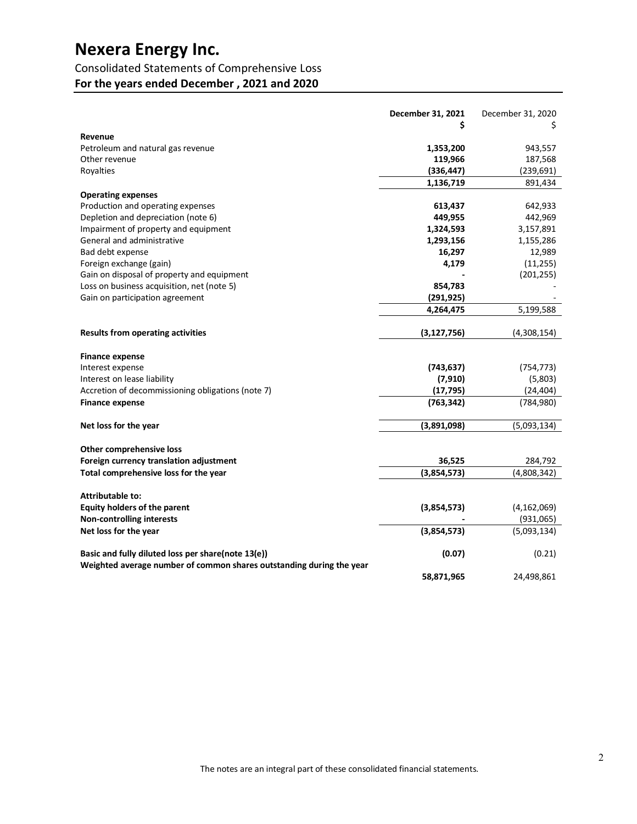## Consolidated Statements of Comprehensive Loss **For the years ended December , 2021 and 2020**

|                                                                      | December 31, 2021 | December 31, 2020 |
|----------------------------------------------------------------------|-------------------|-------------------|
| Revenue                                                              | \$                | \$                |
| Petroleum and natural gas revenue                                    | 1,353,200         | 943,557           |
| Other revenue                                                        | 119,966           | 187,568           |
| Royalties                                                            | (336, 447)        | (239, 691)        |
|                                                                      | 1,136,719         | 891,434           |
| <b>Operating expenses</b>                                            |                   |                   |
| Production and operating expenses                                    | 613,437           | 642,933           |
| Depletion and depreciation (note 6)                                  | 449,955           | 442,969           |
| Impairment of property and equipment                                 | 1,324,593         | 3,157,891         |
| General and administrative                                           | 1,293,156         | 1,155,286         |
| Bad debt expense                                                     | 16,297            | 12,989            |
| Foreign exchange (gain)                                              | 4,179             | (11, 255)         |
| Gain on disposal of property and equipment                           |                   | (201, 255)        |
| Loss on business acquisition, net (note 5)                           | 854,783           |                   |
| Gain on participation agreement                                      | (291, 925)        |                   |
|                                                                      | 4,264,475         | 5,199,588         |
| <b>Results from operating activities</b>                             | (3, 127, 756)     | (4,308,154)       |
| <b>Finance expense</b>                                               |                   |                   |
| Interest expense                                                     | (743, 637)        | (754, 773)        |
| Interest on lease liability                                          | (7, 910)          | (5,803)           |
| Accretion of decommissioning obligations (note 7)                    | (17, 795)         | (24, 404)         |
| <b>Finance expense</b>                                               | (763, 342)        | (784, 980)        |
| Net loss for the year                                                | (3,891,098)       | (5,093,134)       |
| Other comprehensive loss                                             |                   |                   |
| Foreign currency translation adjustment                              | 36,525            | 284,792           |
| Total comprehensive loss for the year                                | (3,854,573)       | (4,808,342)       |
|                                                                      |                   |                   |
| Attributable to:                                                     |                   |                   |
| <b>Equity holders of the parent</b>                                  | (3,854,573)       | (4, 162, 069)     |
| <b>Non-controlling interests</b>                                     |                   | (931,065)         |
| Net loss for the year                                                | (3,854,573)       | (5,093,134)       |
| Basic and fully diluted loss per share(note 13(e))                   | (0.07)            | (0.21)            |
| Weighted average number of common shares outstanding during the year | 58,871,965        | 24,498,861        |
|                                                                      |                   |                   |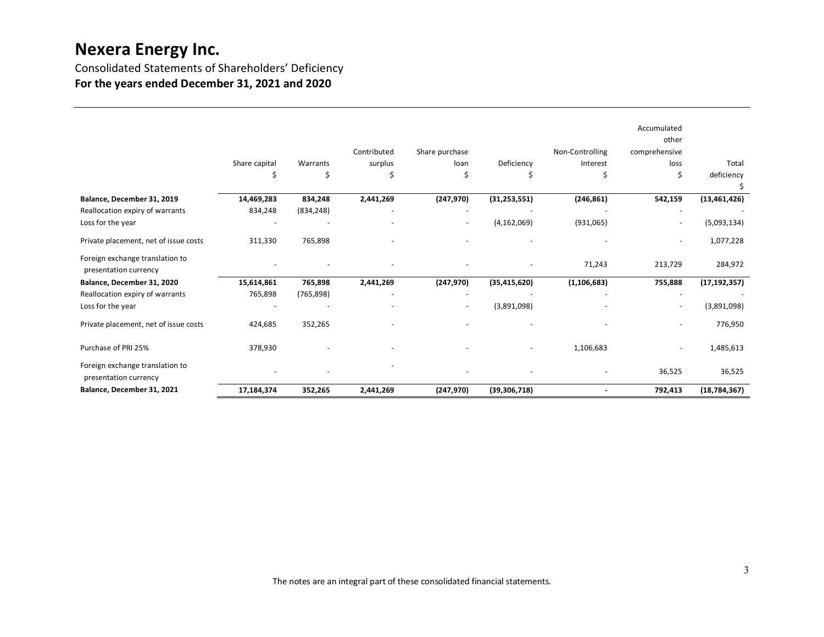## Consolidated Statements of Shareholders' Deficiency **For the years ended December 31, 2021 and 2020**

|                                                          | Share capital<br>S | Warrants<br>S | Contributed<br>surplus | Share purchase<br>loan<br>S | Deficiency     | Non-Controlling<br>Interest | Accumulated<br>other<br>comprehensive<br>loss<br>\$ | Total<br>deficiency<br>Ś |
|----------------------------------------------------------|--------------------|---------------|------------------------|-----------------------------|----------------|-----------------------------|-----------------------------------------------------|--------------------------|
| Balance, December 31, 2019                               | 14,469,283         | 834,248       | 2,441,269              | (247, 970)                  | (31, 253, 551) | (246, 861)                  | 542,159                                             | (13, 461, 426)           |
| Reallocation expiry of warrants                          | 834,248            | (834, 248)    |                        |                             |                |                             |                                                     |                          |
| Loss for the year                                        |                    |               |                        | $\overline{\phantom{a}}$    | (4, 162, 069)  | (931,065)                   |                                                     | (5,093,134)              |
| Private placement, net of issue costs                    | 311,330            | 765,898       |                        |                             |                |                             |                                                     | 1,077,228                |
| Foreign exchange translation to<br>presentation currency |                    |               |                        |                             |                | 71,243                      | 213,729                                             | 284,972                  |
| Balance, December 31, 2020                               | 15,614,861         | 765,898       | 2,441,269              | (247, 970)                  | (35, 415, 620) | (1, 106, 683)               | 755,888                                             | (17, 192, 357)           |
| Reallocation expiry of warrants                          | 765,898            | (765, 898)    |                        |                             |                |                             |                                                     |                          |
| Loss for the year                                        |                    |               |                        |                             | (3,891,098)    |                             |                                                     | (3,891,098)              |
| Private placement, net of issue costs                    | 424,685            | 352,265       |                        |                             |                |                             |                                                     | 776,950                  |
| Purchase of PRI 25%                                      | 378,930            |               |                        |                             |                | 1,106,683                   |                                                     | 1,485,613                |
| Foreign exchange translation to<br>presentation currency |                    |               |                        |                             |                |                             | 36,525                                              | 36,525                   |
| Balance, December 31, 2021                               | 17,184,374         | 352,265       | 2,441,269              | (247, 970)                  | (39, 306, 718) |                             | 792,413                                             | (18, 784, 367)           |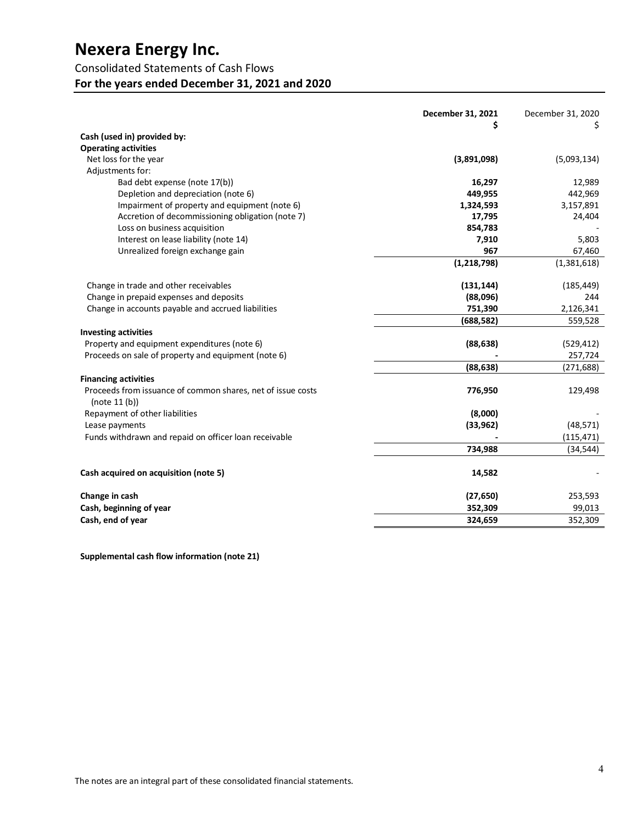## Consolidated Statements of Cash Flows **For the years ended December 31, 2021 and 2020**

|                                                                             | December 31, 2021 | December 31, 2020 |
|-----------------------------------------------------------------------------|-------------------|-------------------|
| Cash (used in) provided by:                                                 | s                 |                   |
| <b>Operating activities</b>                                                 |                   |                   |
| Net loss for the year                                                       | (3,891,098)       | (5,093,134)       |
| Adjustments for:                                                            |                   |                   |
| Bad debt expense (note 17(b))                                               | 16,297            | 12,989            |
| Depletion and depreciation (note 6)                                         | 449,955           | 442,969           |
| Impairment of property and equipment (note 6)                               | 1,324,593         | 3,157,891         |
| Accretion of decommissioning obligation (note 7)                            | 17,795            | 24,404            |
| Loss on business acquisition                                                | 854,783           |                   |
| Interest on lease liability (note 14)                                       | 7,910             | 5,803             |
| Unrealized foreign exchange gain                                            | 967               | 67,460            |
|                                                                             | (1, 218, 798)     | (1,381,618)       |
| Change in trade and other receivables                                       | (131, 144)        | (185, 449)        |
| Change in prepaid expenses and deposits                                     | (88,096)          | 244               |
| Change in accounts payable and accrued liabilities                          | 751,390           | 2,126,341         |
|                                                                             | (688, 582)        | 559,528           |
| <b>Investing activities</b>                                                 |                   |                   |
| Property and equipment expenditures (note 6)                                | (88, 638)         | (529, 412)        |
| Proceeds on sale of property and equipment (note 6)                         |                   | 257,724           |
|                                                                             | (88, 638)         | (271, 688)        |
| <b>Financing activities</b>                                                 |                   |                   |
| Proceeds from issuance of common shares, net of issue costs<br>(note 11(b)) | 776,950           | 129,498           |
| Repayment of other liabilities                                              | (8,000)           |                   |
| Lease payments                                                              | (33, 962)         | (48, 571)         |
| Funds withdrawn and repaid on officer loan receivable                       |                   | (115, 471)        |
|                                                                             | 734,988           | (34, 544)         |
| Cash acquired on acquisition (note 5)                                       | 14,582            |                   |
| Change in cash                                                              | (27, 650)         | 253,593           |
| Cash, beginning of year                                                     | 352,309           | 99,013            |
| Cash, end of year                                                           | 324,659           | 352,309           |

**Supplemental cash flow information (note 21)**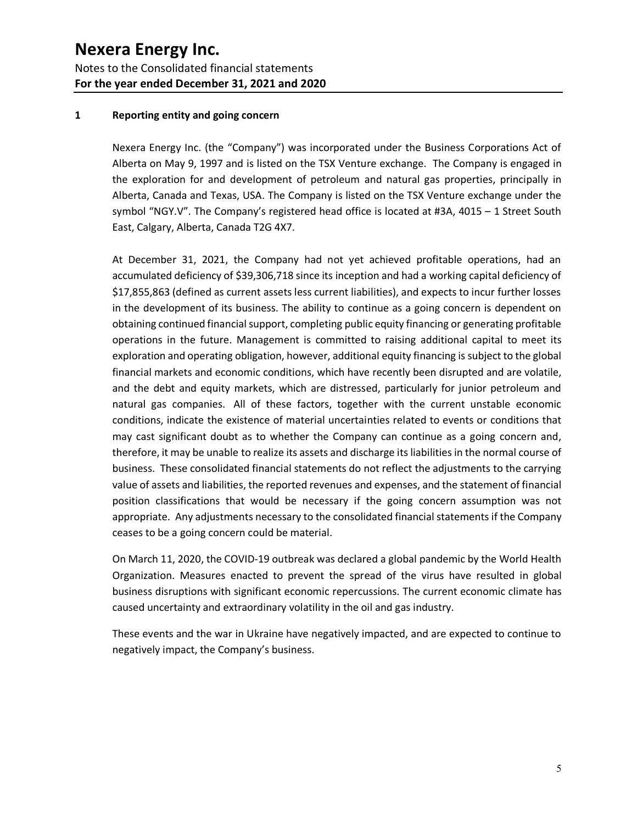## Notes to the Consolidated financial statements **For the year ended December 31, 2021 and 2020**

#### **1 Reporting entity and going concern**

Nexera Energy Inc. (the "Company") was incorporated under the Business Corporations Act of Alberta on May 9, 1997 and is listed on the TSX Venture exchange. The Company is engaged in the exploration for and development of petroleum and natural gas properties, principally in Alberta, Canada and Texas, USA. The Company is listed on the TSX Venture exchange under the symbol "NGY.V". The Company's registered head office is located at #3A, 4015 – 1 Street South East, Calgary, Alberta, Canada T2G 4X7.

At December 31, 2021, the Company had not yet achieved profitable operations, had an accumulated deficiency of \$39,306,718 since its inception and had a working capital deficiency of \$17,855,863 (defined as current assets less current liabilities), and expects to incur further losses in the development of its business. The ability to continue as a going concern is dependent on obtaining continued financial support, completing public equity financing or generating profitable operations in the future. Management is committed to raising additional capital to meet its exploration and operating obligation, however, additional equity financing is subject to the global financial markets and economic conditions, which have recently been disrupted and are volatile, and the debt and equity markets, which are distressed, particularly for junior petroleum and natural gas companies. All of these factors, together with the current unstable economic conditions, indicate the existence of material uncertainties related to events or conditions that may cast significant doubt as to whether the Company can continue as a going concern and, therefore, it may be unable to realize its assets and discharge its liabilities in the normal course of business. These consolidated financial statements do not reflect the adjustments to the carrying value of assets and liabilities, the reported revenues and expenses, and the statement of financial position classifications that would be necessary if the going concern assumption was not appropriate. Any adjustments necessary to the consolidated financial statements if the Company ceases to be a going concern could be material.

On March 11, 2020, the COVID-19 outbreak was declared a global pandemic by the World Health Organization. Measures enacted to prevent the spread of the virus have resulted in global business disruptions with significant economic repercussions. The current economic climate has caused uncertainty and extraordinary volatility in the oil and gas industry.

These events and the war in Ukraine have negatively impacted, and are expected to continue to negatively impact, the Company's business.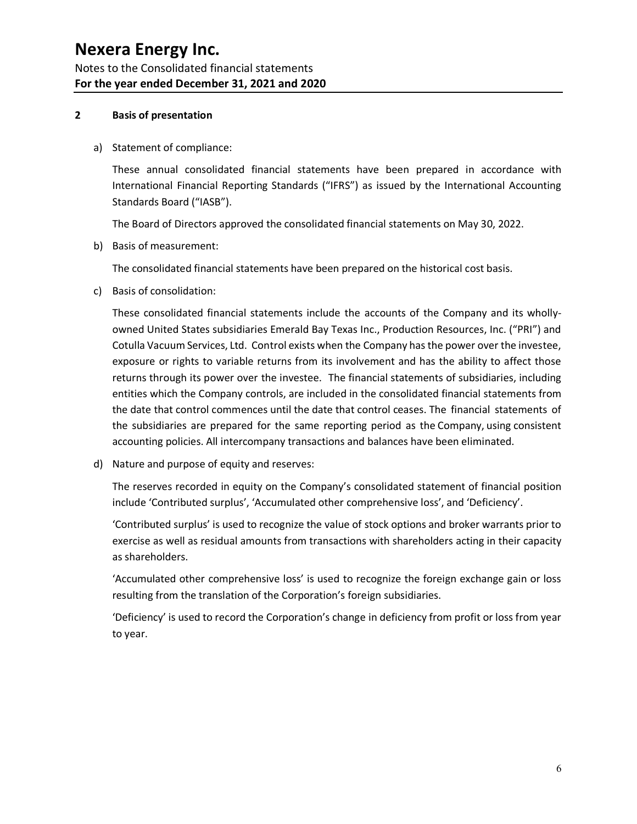Notes to the Consolidated financial statements **For the year ended December 31, 2021 and 2020**

#### **2 Basis of presentation**

a) Statement of compliance:

These annual consolidated financial statements have been prepared in accordance with International Financial Reporting Standards ("IFRS") as issued by the International Accounting Standards Board ("IASB").

The Board of Directors approved the consolidated financial statements on May 30, 2022.

b) Basis of measurement:

The consolidated financial statements have been prepared on the historical cost basis.

c) Basis of consolidation:

These consolidated financial statements include the accounts of the Company and its whollyowned United States subsidiaries Emerald Bay Texas Inc., Production Resources, Inc. ("PRI") and Cotulla Vacuum Services, Ltd. Control exists when the Company has the power over the investee, exposure or rights to variable returns from its involvement and has the ability to affect those returns through its power over the investee. The financial statements of subsidiaries, including entities which the Company controls, are included in the consolidated financial statements from the date that control commences until the date that control ceases. The financial statements of the subsidiaries are prepared for the same reporting period as the Company, using consistent accounting policies. All intercompany transactions and balances have been eliminated.

d) Nature and purpose of equity and reserves:

The reserves recorded in equity on the Company's consolidated statement of financial position include 'Contributed surplus', 'Accumulated other comprehensive loss', and 'Deficiency'.

'Contributed surplus' is used to recognize the value of stock options and broker warrants prior to exercise as well as residual amounts from transactions with shareholders acting in their capacity as shareholders.

'Accumulated other comprehensive loss' is used to recognize the foreign exchange gain or loss resulting from the translation of the Corporation's foreign subsidiaries.

'Deficiency' is used to record the Corporation's change in deficiency from profit or loss from year to year.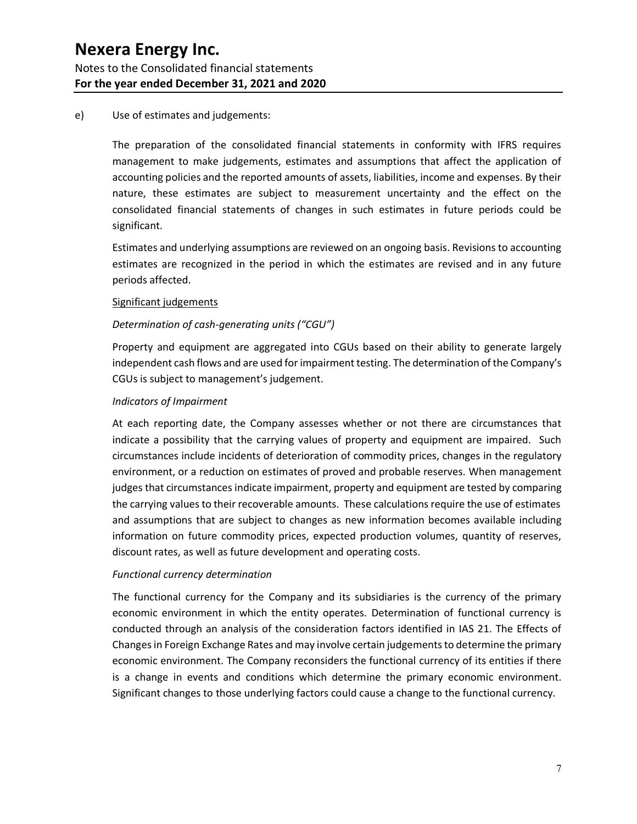## **Nexera Energy Inc.** Notes to the Consolidated financial statements

## **For the year ended December 31, 2021 and 2020**

### e) Use of estimates and judgements:

The preparation of the consolidated financial statements in conformity with IFRS requires management to make judgements, estimates and assumptions that affect the application of accounting policies and the reported amounts of assets, liabilities, income and expenses. By their nature, these estimates are subject to measurement uncertainty and the effect on the consolidated financial statements of changes in such estimates in future periods could be significant.

Estimates and underlying assumptions are reviewed on an ongoing basis. Revisions to accounting estimates are recognized in the period in which the estimates are revised and in any future periods affected.

#### Significant judgements

### *Determination of cash-generating units ("CGU")*

Property and equipment are aggregated into CGUs based on their ability to generate largely independent cash flows and are used for impairment testing. The determination of the Company's CGUs is subject to management's judgement.

### *Indicators of Impairment*

At each reporting date, the Company assesses whether or not there are circumstances that indicate a possibility that the carrying values of property and equipment are impaired. Such circumstances include incidents of deterioration of commodity prices, changes in the regulatory environment, or a reduction on estimates of proved and probable reserves. When management judges that circumstances indicate impairment, property and equipment are tested by comparing the carrying values to their recoverable amounts. These calculations require the use of estimates and assumptions that are subject to changes as new information becomes available including information on future commodity prices, expected production volumes, quantity of reserves, discount rates, as well as future development and operating costs.

#### *Functional currency determination*

The functional currency for the Company and its subsidiaries is the currency of the primary economic environment in which the entity operates. Determination of functional currency is conducted through an analysis of the consideration factors identified in IAS 21. The Effects of Changes in Foreign Exchange Rates and may involve certain judgements to determine the primary economic environment. The Company reconsiders the functional currency of its entities if there is a change in events and conditions which determine the primary economic environment. Significant changes to those underlying factors could cause a change to the functional currency.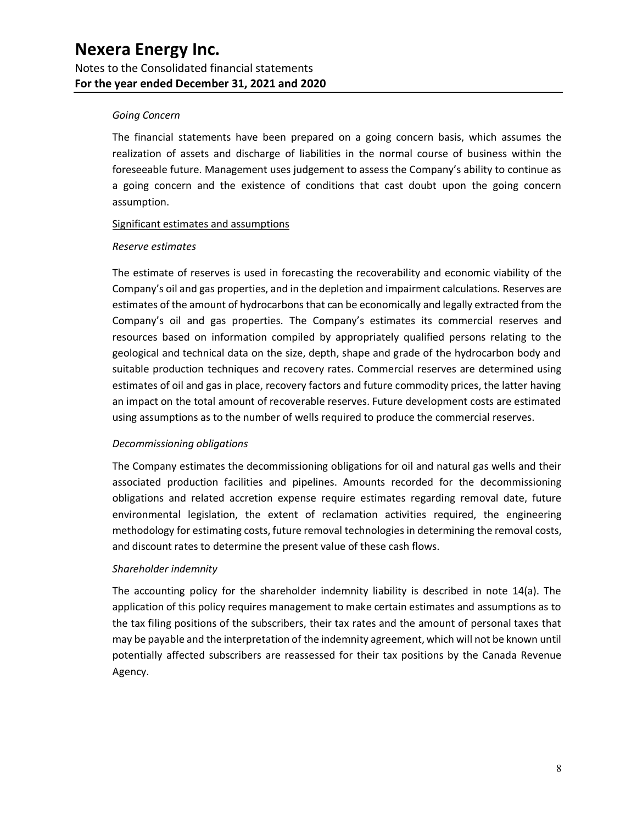### *Going Concern*

The financial statements have been prepared on a going concern basis, which assumes the realization of assets and discharge of liabilities in the normal course of business within the foreseeable future. Management uses judgement to assess the Company's ability to continue as a going concern and the existence of conditions that cast doubt upon the going concern assumption.

#### Significant estimates and assumptions

### *Reserve estimates*

The estimate of reserves is used in forecasting the recoverability and economic viability of the Company's oil and gas properties, and in the depletion and impairment calculations*.* Reserves are estimates of the amount of hydrocarbons that can be economically and legally extracted from the Company's oil and gas properties. The Company's estimates its commercial reserves and resources based on information compiled by appropriately qualified persons relating to the geological and technical data on the size, depth, shape and grade of the hydrocarbon body and suitable production techniques and recovery rates. Commercial reserves are determined using estimates of oil and gas in place, recovery factors and future commodity prices, the latter having an impact on the total amount of recoverable reserves. Future development costs are estimated using assumptions as to the number of wells required to produce the commercial reserves.

### *Decommissioning obligations*

The Company estimates the decommissioning obligations for oil and natural gas wells and their associated production facilities and pipelines. Amounts recorded for the decommissioning obligations and related accretion expense require estimates regarding removal date, future environmental legislation, the extent of reclamation activities required, the engineering methodology for estimating costs, future removal technologies in determining the removal costs, and discount rates to determine the present value of these cash flows.

#### *Shareholder indemnity*

The accounting policy for the shareholder indemnity liability is described in note 14(a). The application of this policy requires management to make certain estimates and assumptions as to the tax filing positions of the subscribers, their tax rates and the amount of personal taxes that may be payable and the interpretation of the indemnity agreement, which will not be known until potentially affected subscribers are reassessed for their tax positions by the Canada Revenue Agency.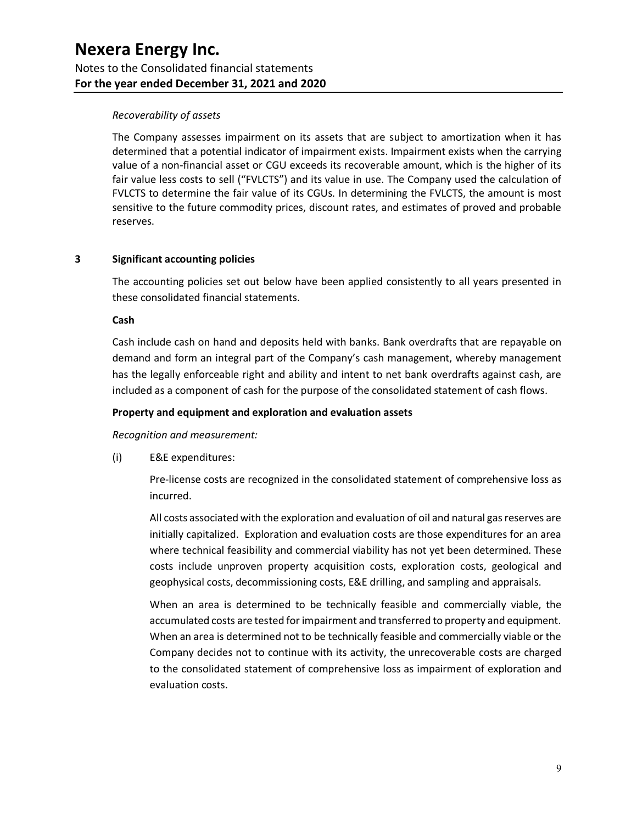## Notes to the Consolidated financial statements **For the year ended December 31, 2021 and 2020**

### *Recoverability of assets*

The Company assesses impairment on its assets that are subject to amortization when it has determined that a potential indicator of impairment exists. Impairment exists when the carrying value of a non-financial asset or CGU exceeds its recoverable amount, which is the higher of its fair value less costs to sell ("FVLCTS") and its value in use. The Company used the calculation of FVLCTS to determine the fair value of its CGUs. In determining the FVLCTS, the amount is most sensitive to the future commodity prices, discount rates, and estimates of proved and probable reserves.

### **3 Significant accounting policies**

The accounting policies set out below have been applied consistently to all years presented in these consolidated financial statements.

#### **Cash**

Cash include cash on hand and deposits held with banks. Bank overdrafts that are repayable on demand and form an integral part of the Company's cash management, whereby management has the legally enforceable right and ability and intent to net bank overdrafts against cash, are included as a component of cash for the purpose of the consolidated statement of cash flows.

#### **Property and equipment and exploration and evaluation assets**

*Recognition and measurement:*

(i) E&E expenditures:

Pre-license costs are recognized in the consolidated statement of comprehensive loss as incurred.

All costs associated with the exploration and evaluation of oil and natural gas reserves are initially capitalized. Exploration and evaluation costs are those expenditures for an area where technical feasibility and commercial viability has not yet been determined. These costs include unproven property acquisition costs, exploration costs, geological and geophysical costs, decommissioning costs, E&E drilling, and sampling and appraisals.

When an area is determined to be technically feasible and commercially viable, the accumulated costs are tested for impairment and transferred to property and equipment. When an area is determined not to be technically feasible and commercially viable or the Company decides not to continue with its activity, the unrecoverable costs are charged to the consolidated statement of comprehensive loss as impairment of exploration and evaluation costs.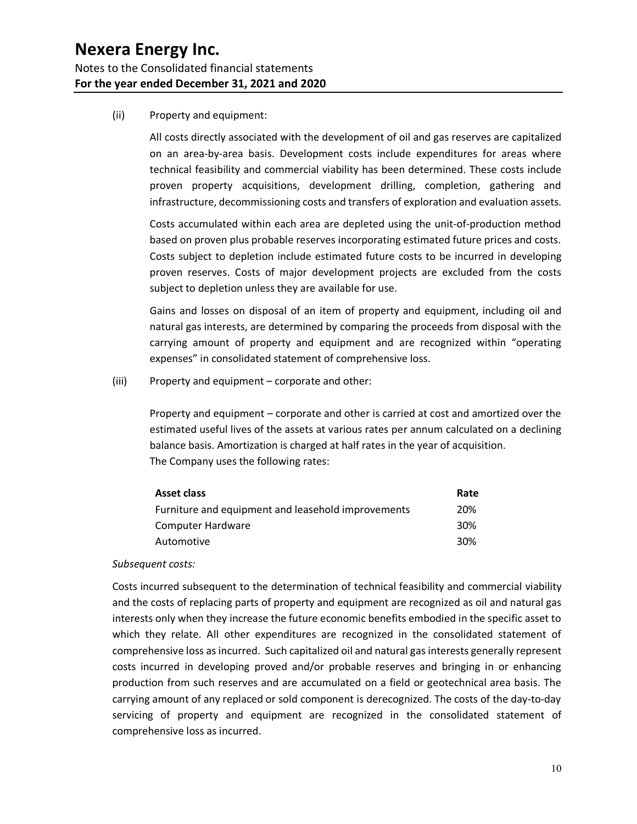### (ii) Property and equipment:

All costs directly associated with the development of oil and gas reserves are capitalized on an area-by-area basis. Development costs include expenditures for areas where technical feasibility and commercial viability has been determined. These costs include proven property acquisitions, development drilling, completion, gathering and infrastructure, decommissioning costs and transfers of exploration and evaluation assets.

Costs accumulated within each area are depleted using the unit-of-production method based on proven plus probable reserves incorporating estimated future prices and costs. Costs subject to depletion include estimated future costs to be incurred in developing proven reserves. Costs of major development projects are excluded from the costs subject to depletion unless they are available for use.

Gains and losses on disposal of an item of property and equipment, including oil and natural gas interests, are determined by comparing the proceeds from disposal with the carrying amount of property and equipment and are recognized within "operating expenses" in consolidated statement of comprehensive loss.

(iii) Property and equipment – corporate and other:

Property and equipment – corporate and other is carried at cost and amortized over the estimated useful lives of the assets at various rates per annum calculated on a declining balance basis. Amortization is charged at half rates in the year of acquisition. The Company uses the following rates:

| Asset class                                        | Rate            |
|----------------------------------------------------|-----------------|
| Furniture and equipment and leasehold improvements | 20%             |
| Computer Hardware                                  | 30 <sup>%</sup> |
| Automotive                                         | 30%             |

#### *Subsequent costs:*

Costs incurred subsequent to the determination of technical feasibility and commercial viability and the costs of replacing parts of property and equipment are recognized as oil and natural gas interests only when they increase the future economic benefits embodied in the specific asset to which they relate. All other expenditures are recognized in the consolidated statement of comprehensive loss as incurred. Such capitalized oil and natural gas interests generally represent costs incurred in developing proved and/or probable reserves and bringing in or enhancing production from such reserves and are accumulated on a field or geotechnical area basis. The carrying amount of any replaced or sold component is derecognized. The costs of the day-to-day servicing of property and equipment are recognized in the consolidated statement of comprehensive loss as incurred.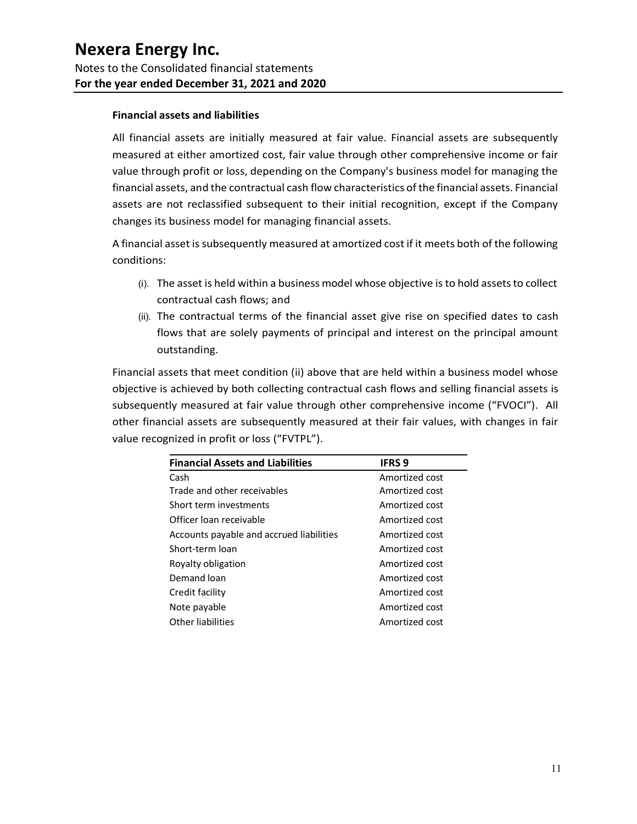### **Financial assets and liabilities**

All financial assets are initially measured at fair value. Financial assets are subsequently measured at either amortized cost, fair value through other comprehensive income or fair value through profit or loss, depending on the Company's business model for managing the financial assets, and the contractual cash flow characteristics of the financial assets. Financial assets are not reclassified subsequent to their initial recognition, except if the Company changes its business model for managing financial assets.

A financial asset is subsequently measured at amortized cost if it meets both of the following conditions:

- (i). The asset is held within a business model whose objective is to hold assets to collect contractual cash flows; and
- (ii). The contractual terms of the financial asset give rise on specified dates to cash flows that are solely payments of principal and interest on the principal amount outstanding.

Financial assets that meet condition (ii) above that are held within a business model whose objective is achieved by both collecting contractual cash flows and selling financial assets is subsequently measured at fair value through other comprehensive income ("FVOCI"). All other financial assets are subsequently measured at their fair values, with changes in fair value recognized in profit or loss ("FVTPL").

| <b>Financial Assets and Liabilities</b>  | <b>IFRS 9</b>  |
|------------------------------------------|----------------|
| Cash                                     | Amortized cost |
| Trade and other receivables              | Amortized cost |
| Short term investments                   | Amortized cost |
| Officer Joan receivable                  | Amortized cost |
| Accounts payable and accrued liabilities | Amortized cost |
| Short-term loan                          | Amortized cost |
| Royalty obligation                       | Amortized cost |
| Demand Joan                              | Amortized cost |
| Credit facility                          | Amortized cost |
| Note payable                             | Amortized cost |
| Other liabilities                        | Amortized cost |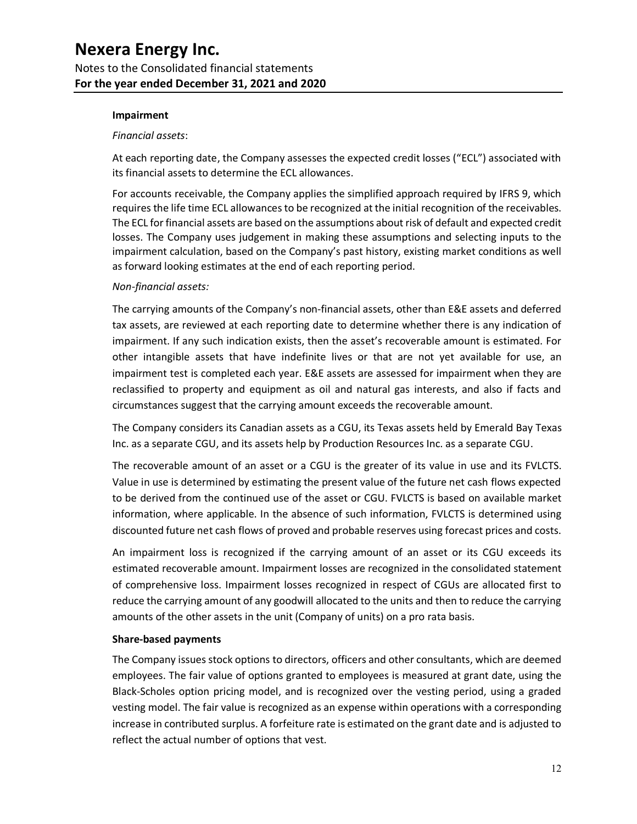#### **Impairment**

#### *Financial assets*:

At each reporting date, the Company assesses the expected credit losses ("ECL") associated with its financial assets to determine the ECL allowances.

For accounts receivable, the Company applies the simplified approach required by IFRS 9, which requires the life time ECL allowances to be recognized at the initial recognition of the receivables. The ECL for financial assets are based on the assumptions about risk of default and expected credit losses. The Company uses judgement in making these assumptions and selecting inputs to the impairment calculation, based on the Company's past history, existing market conditions as well as forward looking estimates at the end of each reporting period.

#### *Non-financial assets:*

The carrying amounts of the Company's non-financial assets, other than E&E assets and deferred tax assets, are reviewed at each reporting date to determine whether there is any indication of impairment. If any such indication exists, then the asset's recoverable amount is estimated. For other intangible assets that have indefinite lives or that are not yet available for use, an impairment test is completed each year. E&E assets are assessed for impairment when they are reclassified to property and equipment as oil and natural gas interests, and also if facts and circumstances suggest that the carrying amount exceeds the recoverable amount.

The Company considers its Canadian assets as a CGU, its Texas assets held by Emerald Bay Texas Inc. as a separate CGU, and its assets help by Production Resources Inc. as a separate CGU.

The recoverable amount of an asset or a CGU is the greater of its value in use and its FVLCTS. Value in use is determined by estimating the present value of the future net cash flows expected to be derived from the continued use of the asset or CGU. FVLCTS is based on available market information, where applicable. In the absence of such information, FVLCTS is determined using discounted future net cash flows of proved and probable reserves using forecast prices and costs.

An impairment loss is recognized if the carrying amount of an asset or its CGU exceeds its estimated recoverable amount. Impairment losses are recognized in the consolidated statement of comprehensive loss. Impairment losses recognized in respect of CGUs are allocated first to reduce the carrying amount of any goodwill allocated to the units and then to reduce the carrying amounts of the other assets in the unit (Company of units) on a pro rata basis.

#### **Share-based payments**

The Company issues stock options to directors, officers and other consultants, which are deemed employees. The fair value of options granted to employees is measured at grant date, using the Black-Scholes option pricing model, and is recognized over the vesting period, using a graded vesting model. The fair value is recognized as an expense within operations with a corresponding increase in contributed surplus. A forfeiture rate is estimated on the grant date and is adjusted to reflect the actual number of options that vest.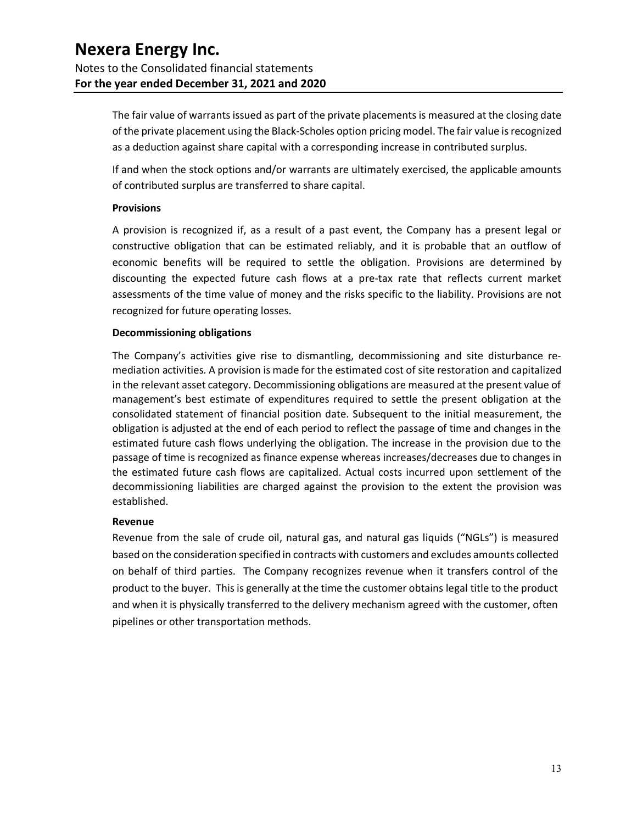The fair value of warrants issued as part of the private placements is measured at the closing date of the private placement using the Black-Scholes option pricing model. The fair value is recognized as a deduction against share capital with a corresponding increase in contributed surplus.

If and when the stock options and/or warrants are ultimately exercised, the applicable amounts of contributed surplus are transferred to share capital.

#### **Provisions**

A provision is recognized if, as a result of a past event, the Company has a present legal or constructive obligation that can be estimated reliably, and it is probable that an outflow of economic benefits will be required to settle the obligation. Provisions are determined by discounting the expected future cash flows at a pre-tax rate that reflects current market assessments of the time value of money and the risks specific to the liability. Provisions are not recognized for future operating losses.

### **Decommissioning obligations**

The Company's activities give rise to dismantling, decommissioning and site disturbance remediation activities. A provision is made for the estimated cost of site restoration and capitalized in the relevant asset category. Decommissioning obligations are measured at the present value of management's best estimate of expenditures required to settle the present obligation at the consolidated statement of financial position date. Subsequent to the initial measurement, the obligation is adjusted at the end of each period to reflect the passage of time and changes in the estimated future cash flows underlying the obligation. The increase in the provision due to the passage of time is recognized as finance expense whereas increases/decreases due to changes in the estimated future cash flows are capitalized. Actual costs incurred upon settlement of the decommissioning liabilities are charged against the provision to the extent the provision was established.

### **Revenue**

Revenue from the sale of crude oil, natural gas, and natural gas liquids ("NGLs") is measured based on the consideration specified in contracts with customers and excludes amounts collected on behalf of third parties. The Company recognizes revenue when it transfers control of the product to the buyer. This is generally at the time the customer obtains legal title to the product and when it is physically transferred to the delivery mechanism agreed with the customer, often pipelines or other transportation methods.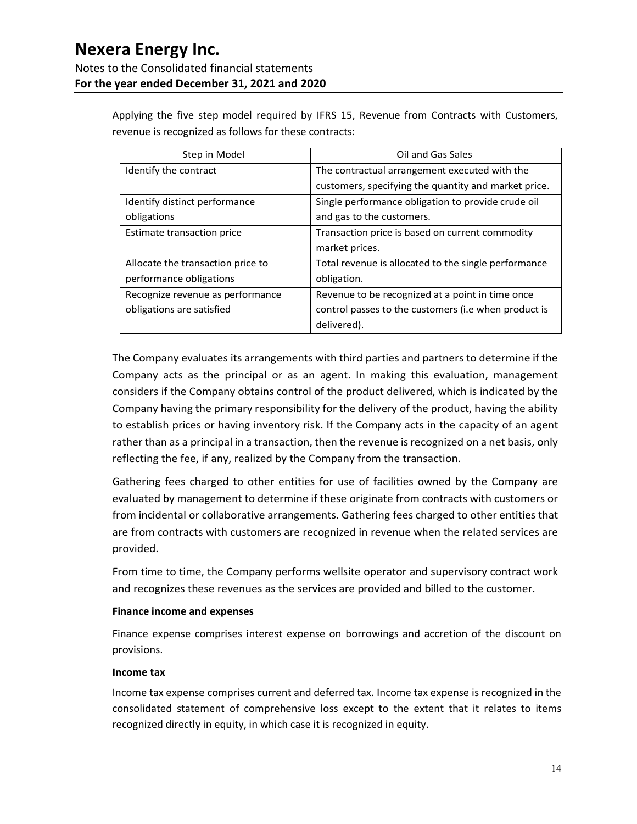Applying the five step model required by IFRS 15, Revenue from Contracts with Customers, revenue is recognized as follows for these contracts:

| Step in Model                     | Oil and Gas Sales                                    |
|-----------------------------------|------------------------------------------------------|
| Identify the contract             | The contractual arrangement executed with the        |
|                                   | customers, specifying the quantity and market price. |
| Identify distinct performance     | Single performance obligation to provide crude oil   |
| obligations                       | and gas to the customers.                            |
| Estimate transaction price        | Transaction price is based on current commodity      |
|                                   | market prices.                                       |
| Allocate the transaction price to | Total revenue is allocated to the single performance |
| performance obligations           | obligation.                                          |
| Recognize revenue as performance  | Revenue to be recognized at a point in time once     |
| obligations are satisfied         | control passes to the customers (i.e when product is |
|                                   | delivered).                                          |

The Company evaluates its arrangements with third parties and partners to determine if the Company acts as the principal or as an agent. In making this evaluation, management considers if the Company obtains control of the product delivered, which is indicated by the Company having the primary responsibility for the delivery of the product, having the ability to establish prices or having inventory risk. If the Company acts in the capacity of an agent rather than as a principal in a transaction, then the revenue is recognized on a net basis, only reflecting the fee, if any, realized by the Company from the transaction.

Gathering fees charged to other entities for use of facilities owned by the Company are evaluated by management to determine if these originate from contracts with customers or from incidental or collaborative arrangements. Gathering fees charged to other entities that are from contracts with customers are recognized in revenue when the related services are provided.

From time to time, the Company performs wellsite operator and supervisory contract work and recognizes these revenues as the services are provided and billed to the customer.

#### **Finance income and expenses**

Finance expense comprises interest expense on borrowings and accretion of the discount on provisions.

#### **Income tax**

Income tax expense comprises current and deferred tax. Income tax expense is recognized in the consolidated statement of comprehensive loss except to the extent that it relates to items recognized directly in equity, in which case it is recognized in equity.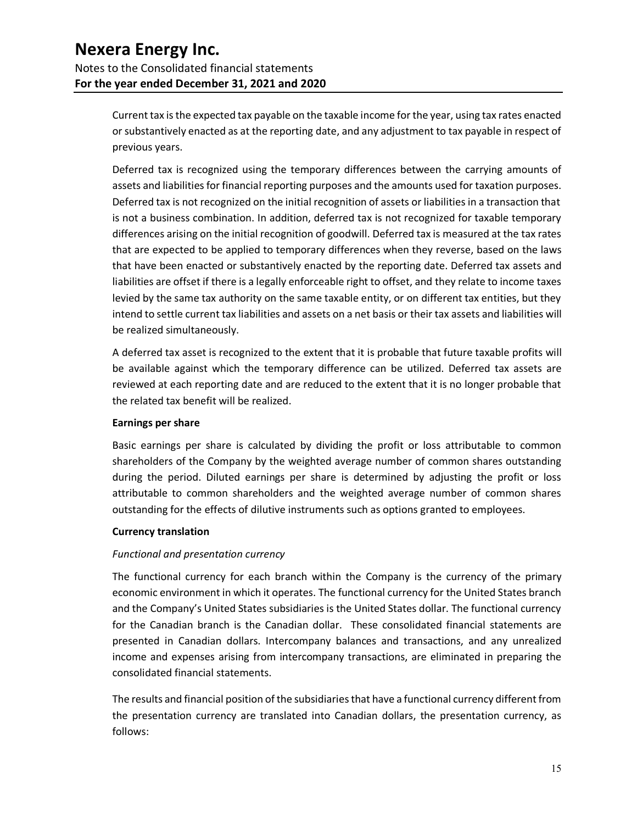## Notes to the Consolidated financial statements **For the year ended December 31, 2021 and 2020**

Current tax is the expected tax payable on the taxable income for the year, using tax rates enacted or substantively enacted as at the reporting date, and any adjustment to tax payable in respect of previous years.

Deferred tax is recognized using the temporary differences between the carrying amounts of assets and liabilities for financial reporting purposes and the amounts used for taxation purposes. Deferred tax is not recognized on the initial recognition of assets or liabilities in a transaction that is not a business combination. In addition, deferred tax is not recognized for taxable temporary differences arising on the initial recognition of goodwill. Deferred tax is measured at the tax rates that are expected to be applied to temporary differences when they reverse, based on the laws that have been enacted or substantively enacted by the reporting date. Deferred tax assets and liabilities are offset if there is a legally enforceable right to offset, and they relate to income taxes levied by the same tax authority on the same taxable entity, or on different tax entities, but they intend to settle current tax liabilities and assets on a net basis or their tax assets and liabilities will be realized simultaneously.

A deferred tax asset is recognized to the extent that it is probable that future taxable profits will be available against which the temporary difference can be utilized. Deferred tax assets are reviewed at each reporting date and are reduced to the extent that it is no longer probable that the related tax benefit will be realized.

#### **Earnings per share**

Basic earnings per share is calculated by dividing the profit or loss attributable to common shareholders of the Company by the weighted average number of common shares outstanding during the period. Diluted earnings per share is determined by adjusting the profit or loss attributable to common shareholders and the weighted average number of common shares outstanding for the effects of dilutive instruments such as options granted to employees.

#### **Currency translation**

### *Functional and presentation currency*

The functional currency for each branch within the Company is the currency of the primary economic environment in which it operates. The functional currency for the United States branch and the Company's United States subsidiaries is the United States dollar. The functional currency for the Canadian branch is the Canadian dollar. These consolidated financial statements are presented in Canadian dollars. Intercompany balances and transactions, and any unrealized income and expenses arising from intercompany transactions, are eliminated in preparing the consolidated financial statements.

The results and financial position of the subsidiaries that have a functional currency different from the presentation currency are translated into Canadian dollars, the presentation currency, as follows: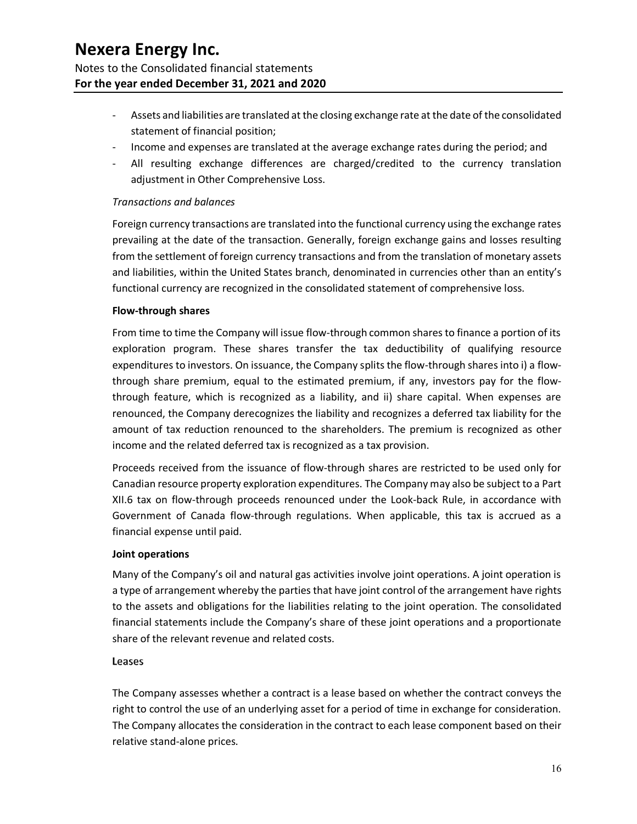Notes to the Consolidated financial statements **For the year ended December 31, 2021 and 2020**

- Assets and liabilities are translated at the closing exchange rate at the date of the consolidated statement of financial position;
- Income and expenses are translated at the average exchange rates during the period; and
- All resulting exchange differences are charged/credited to the currency translation adjustment in Other Comprehensive Loss.

#### *Transactions and balances*

Foreign currency transactions are translated into the functional currency using the exchange rates prevailing at the date of the transaction. Generally, foreign exchange gains and losses resulting from the settlement of foreign currency transactions and from the translation of monetary assets and liabilities, within the United States branch, denominated in currencies other than an entity's functional currency are recognized in the consolidated statement of comprehensive loss.

#### **Flow-through shares**

From time to time the Company will issue flow-through common shares to finance a portion of its exploration program. These shares transfer the tax deductibility of qualifying resource expenditures to investors. On issuance, the Company splits the flow-through shares into i) a flowthrough share premium, equal to the estimated premium, if any, investors pay for the flowthrough feature, which is recognized as a liability, and ii) share capital. When expenses are renounced, the Company derecognizes the liability and recognizes a deferred tax liability for the amount of tax reduction renounced to the shareholders. The premium is recognized as other income and the related deferred tax is recognized as a tax provision.

Proceeds received from the issuance of flow-through shares are restricted to be used only for Canadian resource property exploration expenditures. The Company may also be subject to a Part XII.6 tax on flow-through proceeds renounced under the Look-back Rule, in accordance with Government of Canada flow-through regulations. When applicable, this tax is accrued as a financial expense until paid.

#### **Joint operations**

Many of the Company's oil and natural gas activities involve joint operations. A joint operation is a type of arrangement whereby the parties that have joint control of the arrangement have rights to the assets and obligations for the liabilities relating to the joint operation. The consolidated financial statements include the Company's share of these joint operations and a proportionate share of the relevant revenue and related costs.

#### Leases

The Company assesses whether a contract is a lease based on whether the contract conveys the right to control the use of an underlying asset for a period of time in exchange for consideration. The Company allocates the consideration in the contract to each lease component based on their relative stand-alone prices.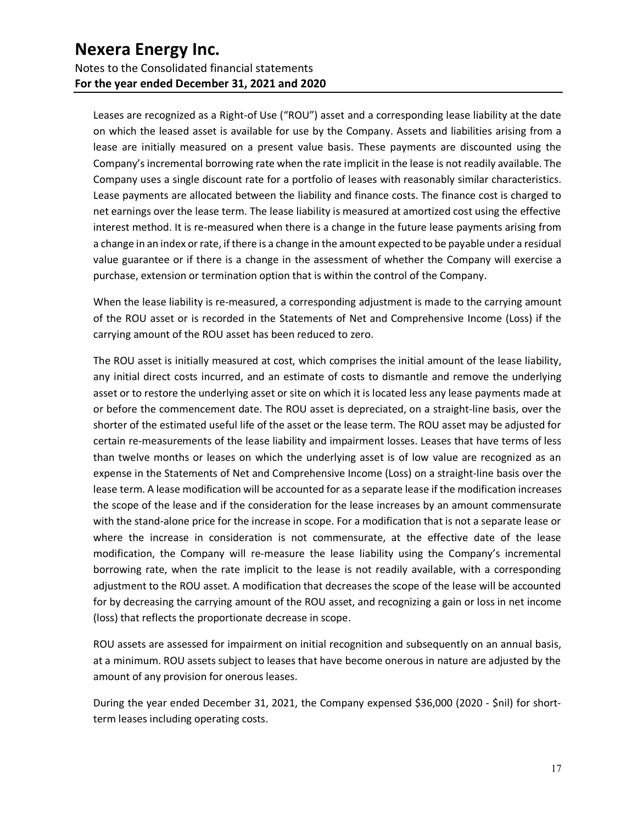Notes to the Consolidated financial statements **For the year ended December 31, 2021 and 2020**

Leases are recognized as a Right-of Use ("ROU") asset and a corresponding lease liability at the date on which the leased asset is available for use by the Company. Assets and liabilities arising from a lease are initially measured on a present value basis. These payments are discounted using the Company's incremental borrowing rate when the rate implicit in the lease is not readily available. The Company uses a single discount rate for a portfolio of leases with reasonably similar characteristics. Lease payments are allocated between the liability and finance costs. The finance cost is charged to net earnings over the lease term. The lease liability is measured at amortized cost using the effective interest method. It is re-measured when there is a change in the future lease payments arising from a change in an index or rate, if there is a change in the amount expected to be payable under a residual value guarantee or if there is a change in the assessment of whether the Company will exercise a purchase, extension or termination option that is within the control of the Company.

When the lease liability is re-measured, a corresponding adjustment is made to the carrying amount of the ROU asset or is recorded in the Statements of Net and Comprehensive Income (Loss) if the carrying amount of the ROU asset has been reduced to zero.

The ROU asset is initially measured at cost, which comprises the initial amount of the lease liability, any initial direct costs incurred, and an estimate of costs to dismantle and remove the underlying asset or to restore the underlying asset or site on which it is located less any lease payments made at or before the commencement date. The ROU asset is depreciated, on a straight-line basis, over the shorter of the estimated useful life of the asset or the lease term. The ROU asset may be adjusted for certain re-measurements of the lease liability and impairment losses. Leases that have terms of less than twelve months or leases on which the underlying asset is of low value are recognized as an expense in the Statements of Net and Comprehensive Income (Loss) on a straight-line basis over the lease term. A lease modification will be accounted for as a separate lease if the modification increases the scope of the lease and if the consideration for the lease increases by an amount commensurate with the stand-alone price for the increase in scope. For a modification that is not a separate lease or where the increase in consideration is not commensurate, at the effective date of the lease modification, the Company will re-measure the lease liability using the Company's incremental borrowing rate, when the rate implicit to the lease is not readily available, with a corresponding adjustment to the ROU asset. A modification that decreases the scope of the lease will be accounted for by decreasing the carrying amount of the ROU asset, and recognizing a gain or loss in net income (loss) that reflects the proportionate decrease in scope.

ROU assets are assessed for impairment on initial recognition and subsequently on an annual basis, at a minimum. ROU assets subject to leases that have become onerous in nature are adjusted by the amount of any provision for onerous leases.

During the year ended December 31, 2021, the Company expensed \$36,000 (2020 - \$nil) for shortterm leases including operating costs.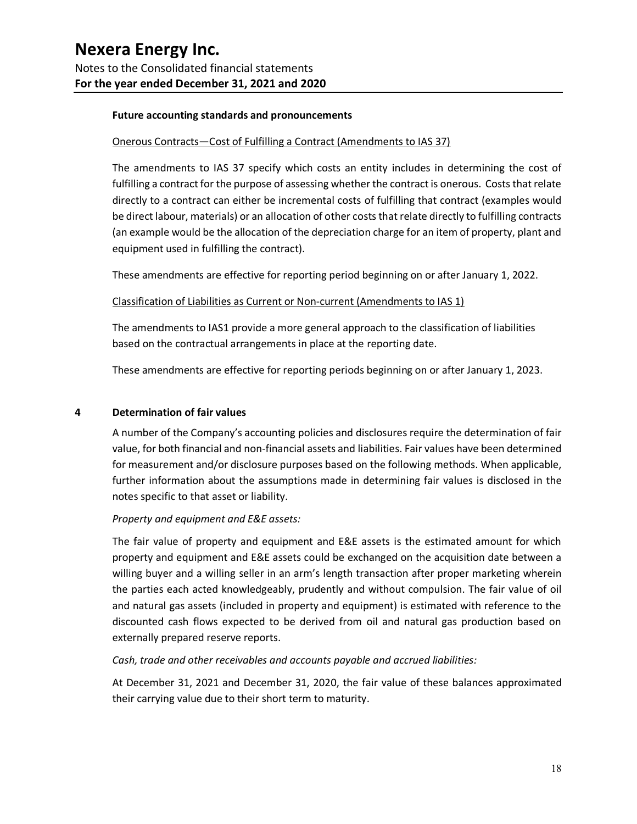Notes to the Consolidated financial statements **For the year ended December 31, 2021 and 2020**

#### **Future accounting standards and pronouncements**

### Onerous Contracts—Cost of Fulfilling a Contract (Amendments to IAS 37)

The amendments to IAS 37 specify which costs an entity includes in determining the cost of fulfilling a contract for the purpose of assessing whether the contract is onerous. Costs that relate directly to a contract can either be incremental costs of fulfilling that contract (examples would be direct labour, materials) or an allocation of other costs that relate directly to fulfilling contracts (an example would be the allocation of the depreciation charge for an item of property, plant and equipment used in fulfilling the contract).

These amendments are effective for reporting period beginning on or after January 1, 2022.

### Classification of Liabilities as Current or Non-current (Amendments to IAS 1)

The amendments to IAS1 provide a more general approach to the classification of liabilities based on the contractual arrangements in place at the reporting date.

These amendments are effective for reporting periods beginning on or after January 1, 2023.

### **4 Determination of fair values**

A number of the Company's accounting policies and disclosures require the determination of fair value, for both financial and non-financial assets and liabilities. Fair values have been determined for measurement and/or disclosure purposes based on the following methods. When applicable, further information about the assumptions made in determining fair values is disclosed in the notes specific to that asset or liability.

#### *Property and equipment and E&E assets:*

The fair value of property and equipment and E&E assets is the estimated amount for which property and equipment and E&E assets could be exchanged on the acquisition date between a willing buyer and a willing seller in an arm's length transaction after proper marketing wherein the parties each acted knowledgeably, prudently and without compulsion. The fair value of oil and natural gas assets (included in property and equipment) is estimated with reference to the discounted cash flows expected to be derived from oil and natural gas production based on externally prepared reserve reports.

*Cash, trade and other receivables and accounts payable and accrued liabilities:*

At December 31, 2021 and December 31, 2020, the fair value of these balances approximated their carrying value due to their short term to maturity.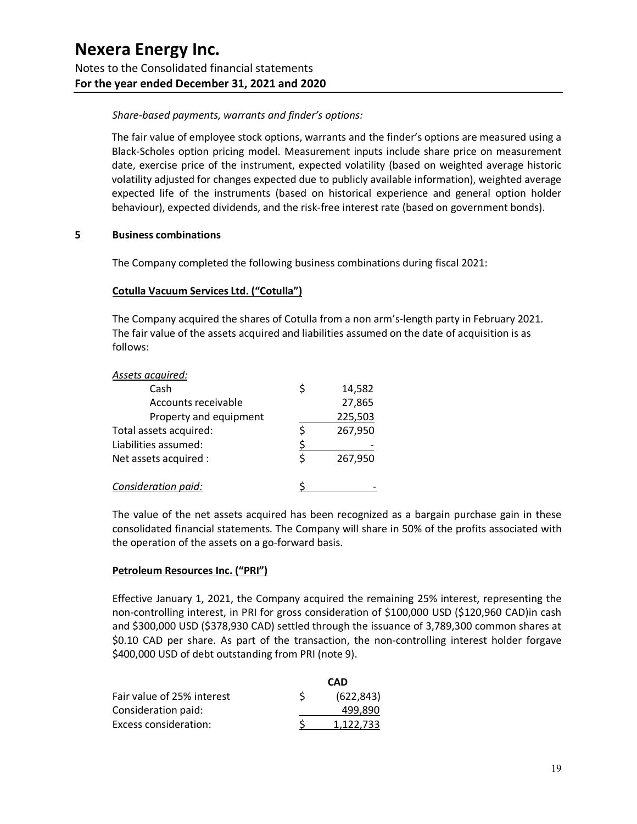#### *Share-based payments, warrants and finder's options:*

The fair value of employee stock options, warrants and the finder's options are measured using a Black-Scholes option pricing model. Measurement inputs include share price on measurement date, exercise price of the instrument, expected volatility (based on weighted average historic volatility adjusted for changes expected due to publicly available information), weighted average expected life of the instruments (based on historical experience and general option holder behaviour), expected dividends, and the risk-free interest rate (based on government bonds).

#### **5 Business combinations**

The Company completed the following business combinations during fiscal 2021:

#### **Cotulla Vacuum Services Ltd. ("Cotulla")**

The Company acquired the shares of Cotulla from a non arm's-length party in February 2021. The fair value of the assets acquired and liabilities assumed on the date of acquisition is as follows:

| Assets acquired:       |   |         |
|------------------------|---|---------|
| Cash                   | Ś | 14,582  |
| Accounts receivable    |   | 27,865  |
| Property and equipment |   | 225,503 |
| Total assets acquired: |   | 267,950 |
| Liabilities assumed:   |   |         |
| Net assets acquired :  |   | 267,950 |
| Consideration paid:    |   |         |

The value of the net assets acquired has been recognized as a bargain purchase gain in these consolidated financial statements. The Company will share in 50% of the profits associated with the operation of the assets on a go-forward basis.

#### **Petroleum Resources Inc. ("PRI")**

Effective January 1, 2021, the Company acquired the remaining 25% interest, representing the non-controlling interest, in PRI for gross consideration of \$100,000 USD (\$120,960 CAD)in cash and \$300,000 USD (\$378,930 CAD) settled through the issuance of 3,789,300 common shares at \$0.10 CAD per share. As part of the transaction, the non-controlling interest holder forgave \$400,000 USD of debt outstanding from PRI (note 9).

|                            | <b>CAD</b> |
|----------------------------|------------|
| Fair value of 25% interest | (622, 843) |
| Consideration paid:        | 499.890    |
| Excess consideration:      | 1.122.733  |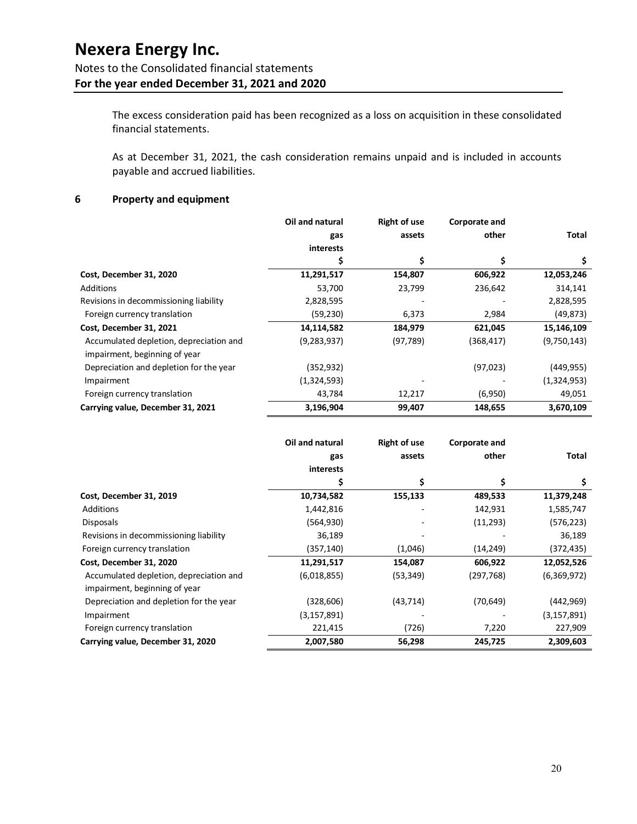## Notes to the Consolidated financial statements **For the year ended December 31, 2021 and 2020**

The excess consideration paid has been recognized as a loss on acquisition in these consolidated financial statements.

As at December 31, 2021, the cash consideration remains unpaid and is included in accounts payable and accrued liabilities.

#### **6 Property and equipment**

|                                         | Oil and natural | <b>Right of use</b> | Corporate and |             |
|-----------------------------------------|-----------------|---------------------|---------------|-------------|
|                                         | gas             | assets              | other         | Total       |
|                                         | interests       |                     |               |             |
|                                         | \$              | \$                  | \$            | \$          |
| Cost, December 31, 2020                 | 11,291,517      | 154,807             | 606,922       | 12,053,246  |
| <b>Additions</b>                        | 53,700          | 23,799              | 236,642       | 314,141     |
| Revisions in decommissioning liability  | 2,828,595       |                     |               | 2,828,595   |
| Foreign currency translation            | (59, 230)       | 6,373               | 2,984         | (49, 873)   |
| Cost, December 31, 2021                 | 14,114,582      | 184,979             | 621,045       | 15,146,109  |
| Accumulated depletion, depreciation and | (9, 283, 937)   | (97, 789)           | (368, 417)    | (9,750,143) |
| impairment, beginning of year           |                 |                     |               |             |
| Depreciation and depletion for the year | (352, 932)      |                     | (97, 023)     | (449, 955)  |
| Impairment                              | (1,324,593)     |                     |               | (1,324,953) |
| Foreign currency translation            | 43,784          | 12,217              | (6,950)       | 49,051      |
| Carrying value, December 31, 2021       | 3,196,904       | 99,407              | 148,655       | 3,670,109   |

|                                                                          | Oil and natural | <b>Right of use</b> | Corporate and |               |
|--------------------------------------------------------------------------|-----------------|---------------------|---------------|---------------|
|                                                                          | gas             | assets              | other         | Total         |
|                                                                          | interests       |                     |               |               |
|                                                                          | Ş               | Ş                   | Ş             | Ş             |
| Cost, December 31, 2019                                                  | 10,734,582      | 155,133             | 489,533       | 11,379,248    |
| <b>Additions</b>                                                         | 1,442,816       |                     | 142,931       | 1,585,747     |
| <b>Disposals</b>                                                         | (564, 930)      |                     | (11, 293)     | (576, 223)    |
| Revisions in decommissioning liability                                   | 36,189          |                     |               | 36,189        |
| Foreign currency translation                                             | (357, 140)      | (1,046)             | (14, 249)     | (372, 435)    |
| Cost, December 31, 2020                                                  | 11,291,517      | 154,087             | 606,922       | 12,052,526    |
| Accumulated depletion, depreciation and<br>impairment, beginning of year | (6,018,855)     | (53, 349)           | (297,768)     | (6,369,972)   |
| Depreciation and depletion for the year                                  | (328, 606)      | (43, 714)           | (70, 649)     | (442, 969)    |
| Impairment                                                               | (3, 157, 891)   |                     |               | (3, 157, 891) |
| Foreign currency translation                                             | 221,415         | (726)               | 7,220         | 227,909       |
| Carrying value, December 31, 2020                                        | 2,007,580       | 56,298              | 245,725       | 2,309,603     |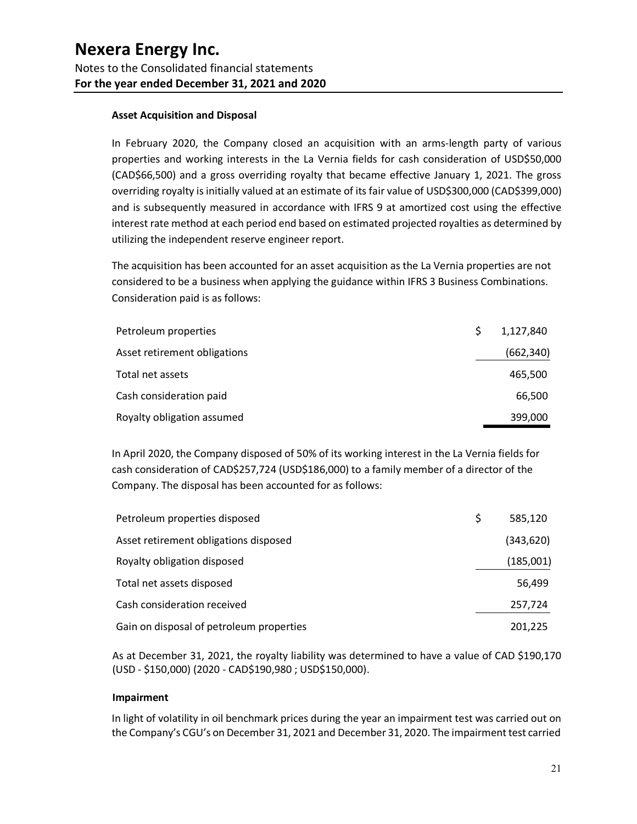Notes to the Consolidated financial statements **For the year ended December 31, 2021 and 2020**

### **Asset Acquisition and Disposal**

In February 2020, the Company closed an acquisition with an arms-length party of various properties and working interests in the La Vernia fields for cash consideration of USD\$50,000 (CAD\$66,500) and a gross overriding royalty that became effective January 1, 2021. The gross overriding royalty is initially valued at an estimate of its fair value of USD\$300,000 (CAD\$399,000) and is subsequently measured in accordance with IFRS 9 at amortized cost using the effective interest rate method at each period end based on estimated projected royalties as determined by utilizing the independent reserve engineer report.

The acquisition has been accounted for an asset acquisition as the La Vernia properties are not considered to be a business when applying the guidance within IFRS 3 Business Combinations. Consideration paid is as follows:

| Petroleum properties         | 1,127,840  |
|------------------------------|------------|
| Asset retirement obligations | (662, 340) |
| Total net assets             | 465,500    |
| Cash consideration paid      | 66,500     |
| Royalty obligation assumed   | 399,000    |

In April 2020, the Company disposed of 50% of its working interest in the La Vernia fields for cash consideration of CAD\$257,724 (USD\$186,000) to a family member of a director of the Company. The disposal has been accounted for as follows:

| Petroleum properties disposed            | \$<br>585,120 |
|------------------------------------------|---------------|
| Asset retirement obligations disposed    | (343, 620)    |
| Royalty obligation disposed              | (185,001)     |
| Total net assets disposed                | 56,499        |
| Cash consideration received              | 257,724       |
| Gain on disposal of petroleum properties | 201,225       |

As at December 31, 2021, the royalty liability was determined to have a value of CAD \$190,170 (USD - \$150,000) (2020 - CAD\$190,980 ; USD\$150,000).

#### **Impairment**

In light of volatility in oil benchmark prices during the year an impairment test was carried out on the Company's CGU's on December 31, 2021 and December 31, 2020. The impairment test carried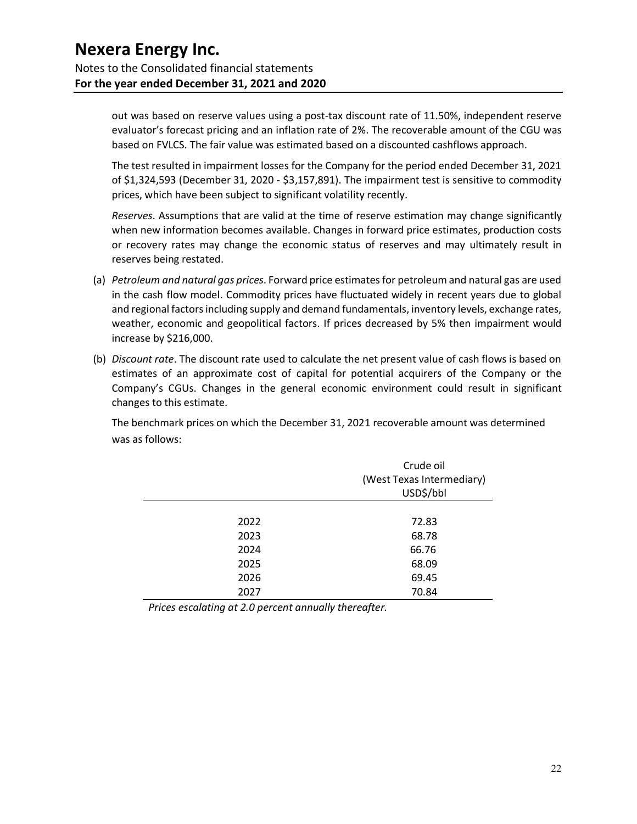Notes to the Consolidated financial statements **For the year ended December 31, 2021 and 2020**

> out was based on reserve values using a post-tax discount rate of 11.50%, independent reserve evaluator's forecast pricing and an inflation rate of 2%. The recoverable amount of the CGU was based on FVLCS. The fair value was estimated based on a discounted cashflows approach.

> The test resulted in impairment losses for the Company for the period ended December 31, 2021 of \$1,324,593 (December 31, 2020 - \$3,157,891). The impairment test is sensitive to commodity prices, which have been subject to significant volatility recently.

> *Reserves*. Assumptions that are valid at the time of reserve estimation may change significantly when new information becomes available. Changes in forward price estimates, production costs or recovery rates may change the economic status of reserves and may ultimately result in reserves being restated.

- (a) *Petroleum and natural gas prices*. Forward price estimates for petroleum and natural gas are used in the cash flow model. Commodity prices have fluctuated widely in recent years due to global and regional factors including supply and demand fundamentals, inventory levels, exchange rates, weather, economic and geopolitical factors. If prices decreased by 5% then impairment would increase by \$216,000.
- (b) *Discount rate*. The discount rate used to calculate the net present value of cash flows is based on estimates of an approximate cost of capital for potential acquirers of the Company or the Company's CGUs. Changes in the general economic environment could result in significant changes to this estimate.

The benchmark prices on which the December 31, 2021 recoverable amount was determined was as follows:

|      | Crude oil<br>(West Texas Intermediary)<br>USD\$/bbl |
|------|-----------------------------------------------------|
| 2022 | 72.83                                               |
| 2023 | 68.78                                               |
| 2024 | 66.76                                               |
| 2025 | 68.09                                               |
| 2026 | 69.45                                               |
| 2027 | 70.84                                               |

*Prices escalating at 2.0 percent annually thereafter.*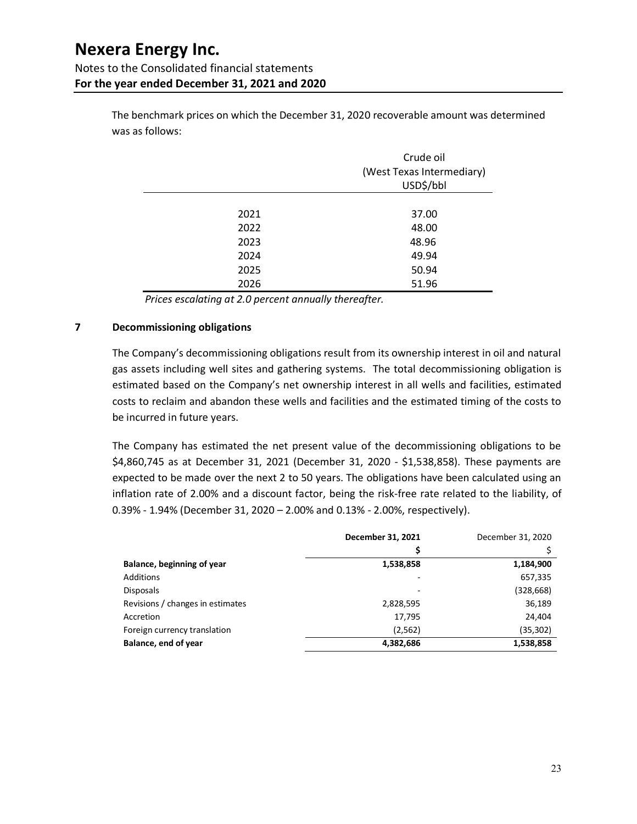## Notes to the Consolidated financial statements **For the year ended December 31, 2021 and 2020**

The benchmark prices on which the December 31, 2020 recoverable amount was determined was as follows:

|      | Crude oil<br>(West Texas Intermediary)<br>USD\$/bbl |
|------|-----------------------------------------------------|
| 2021 | 37.00                                               |
| 2022 | 48.00                                               |
| 2023 | 48.96                                               |
| 2024 | 49.94                                               |
| 2025 | 50.94                                               |
| 2026 | 51.96                                               |

*Prices escalating at 2.0 percent annually thereafter.*

#### **7 Decommissioning obligations**

The Company's decommissioning obligations result from its ownership interest in oil and natural gas assets including well sites and gathering systems. The total decommissioning obligation is estimated based on the Company's net ownership interest in all wells and facilities, estimated costs to reclaim and abandon these wells and facilities and the estimated timing of the costs to be incurred in future years.

The Company has estimated the net present value of the decommissioning obligations to be \$4,860,745 as at December 31, 2021 (December 31, 2020 - \$1,538,858). These payments are expected to be made over the next 2 to 50 years. The obligations have been calculated using an inflation rate of 2.00% and a discount factor, being the risk-free rate related to the liability, of 0.39% - 1.94% (December 31, 2020 – 2.00% and 0.13% - 2.00%, respectively).

|                                  | December 31, 2021        | December 31, 2020 |
|----------------------------------|--------------------------|-------------------|
|                                  |                          |                   |
| Balance, beginning of year       | 1,538,858                | 1,184,900         |
| <b>Additions</b>                 | -                        | 657,335           |
| <b>Disposals</b>                 | $\overline{\phantom{0}}$ | (328, 668)        |
| Revisions / changes in estimates | 2,828,595                | 36,189            |
| Accretion                        | 17,795                   | 24,404            |
| Foreign currency translation     | (2, 562)                 | (35, 302)         |
| Balance, end of year             | 4,382,686                | 1,538,858         |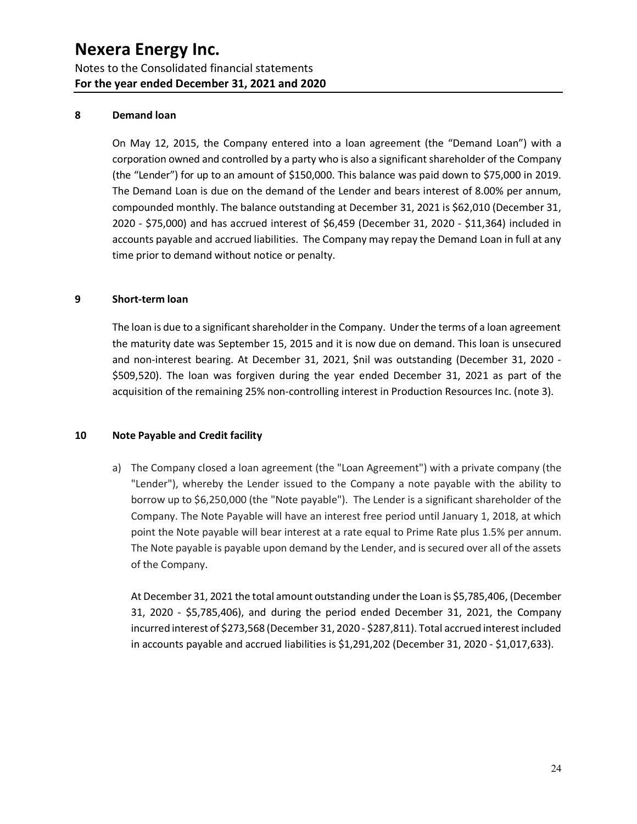## Notes to the Consolidated financial statements **For the year ended December 31, 2021 and 2020**

#### **8 Demand loan**

On May 12, 2015, the Company entered into a loan agreement (the "Demand Loan") with a corporation owned and controlled by a party who is also a significant shareholder of the Company (the "Lender") for up to an amount of \$150,000. This balance was paid down to \$75,000 in 2019. The Demand Loan is due on the demand of the Lender and bears interest of 8.00% per annum, compounded monthly. The balance outstanding at December 31, 2021 is \$62,010 (December 31, 2020 - \$75,000) and has accrued interest of \$6,459 (December 31, 2020 - \$11,364) included in accounts payable and accrued liabilities. The Company may repay the Demand Loan in full at any time prior to demand without notice or penalty.

#### **9 Short-term loan**

The loan is due to a significant shareholder in the Company. Under the terms of a loan agreement the maturity date was September 15, 2015 and it is now due on demand. This loan is unsecured and non-interest bearing. At December 31, 2021, \$nil was outstanding (December 31, 2020 - \$509,520). The loan was forgiven during the year ended December 31, 2021 as part of the acquisition of the remaining 25% non-controlling interest in Production Resources Inc. (note 3).

#### **10 Note Payable and Credit facility**

a) The Company closed a loan agreement (the "Loan Agreement") with a private company (the "Lender"), whereby the Lender issued to the Company a note payable with the ability to borrow up to \$6,250,000 (the "Note payable"). The Lender is a significant shareholder of the Company. The Note Payable will have an interest free period until January 1, 2018, at which point the Note payable will bear interest at a rate equal to Prime Rate plus 1.5% per annum. The Note payable is payable upon demand by the Lender, and is secured over all of the assets of the Company.

At December 31, 2021 the total amount outstanding under the Loan is \$5,785,406, (December 31, 2020 - \$5,785,406), and during the period ended December 31, 2021, the Company incurred interest of \$273,568 (December 31, 2020 - \$287,811). Total accrued interest included in accounts payable and accrued liabilities is \$1,291,202 (December 31, 2020 - \$1,017,633).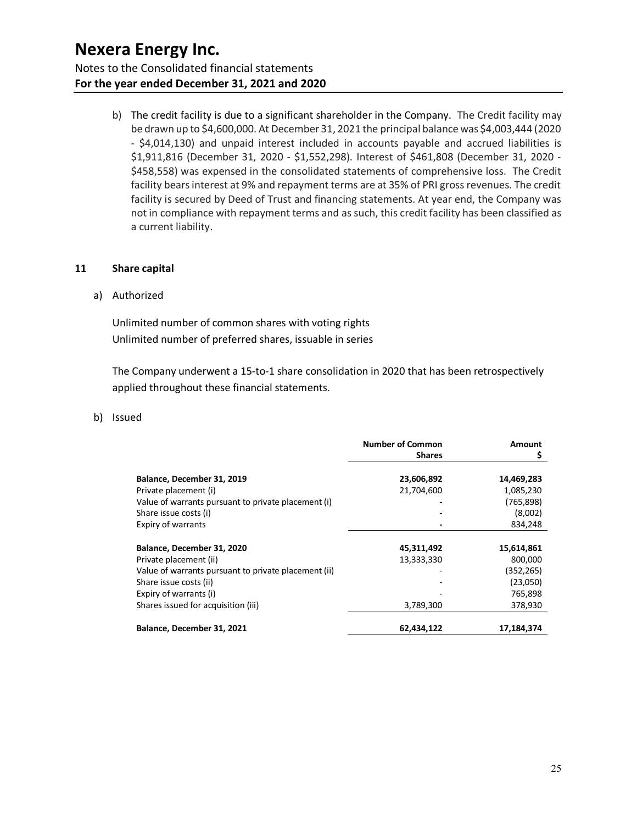## Notes to the Consolidated financial statements **For the year ended December 31, 2021 and 2020**

b) The credit facility is due to a significant shareholder in the Company. The Credit facility may be drawn up to \$4,600,000. At December 31, 2021 the principal balance was \$4,003,444 (2020 - \$4,014,130) and unpaid interest included in accounts payable and accrued liabilities is \$1,911,816 (December 31, 2020 - \$1,552,298). Interest of \$461,808 (December 31, 2020 - \$458,558) was expensed in the consolidated statements of comprehensive loss. The Credit facility bears interest at 9% and repayment terms are at 35% of PRI gross revenues. The credit facility is secured by Deed of Trust and financing statements. At year end, the Company was not in compliance with repayment terms and as such, this credit facility has been classified as a current liability.

#### **11 Share capital**

a) Authorized

Unlimited number of common shares with voting rights Unlimited number of preferred shares, issuable in series

The Company underwent a 15-to-1 share consolidation in 2020 that has been retrospectively applied throughout these financial statements.

b) Issued

|                                                                                                                                                                                                         | <b>Number of Common</b><br><b>Shares</b> | Amount<br>Ş                                                          |
|---------------------------------------------------------------------------------------------------------------------------------------------------------------------------------------------------------|------------------------------------------|----------------------------------------------------------------------|
| Balance, December 31, 2019<br>Private placement (i)<br>Value of warrants pursuant to private placement (i)<br>Share issue costs (i)<br>Expiry of warrants                                               | 23,606,892<br>21,704,600                 | 14,469,283<br>1,085,230<br>(765, 898)<br>(8,002)<br>834,248          |
| Balance, December 31, 2020<br>Private placement (ii)<br>Value of warrants pursuant to private placement (ii)<br>Share issue costs (ii)<br>Expiry of warrants (i)<br>Shares issued for acquisition (iii) | 45,311,492<br>13,333,330<br>3,789,300    | 15,614,861<br>800,000<br>(352,265)<br>(23,050)<br>765,898<br>378,930 |
| Balance, December 31, 2021                                                                                                                                                                              | 62,434,122                               | 17,184,374                                                           |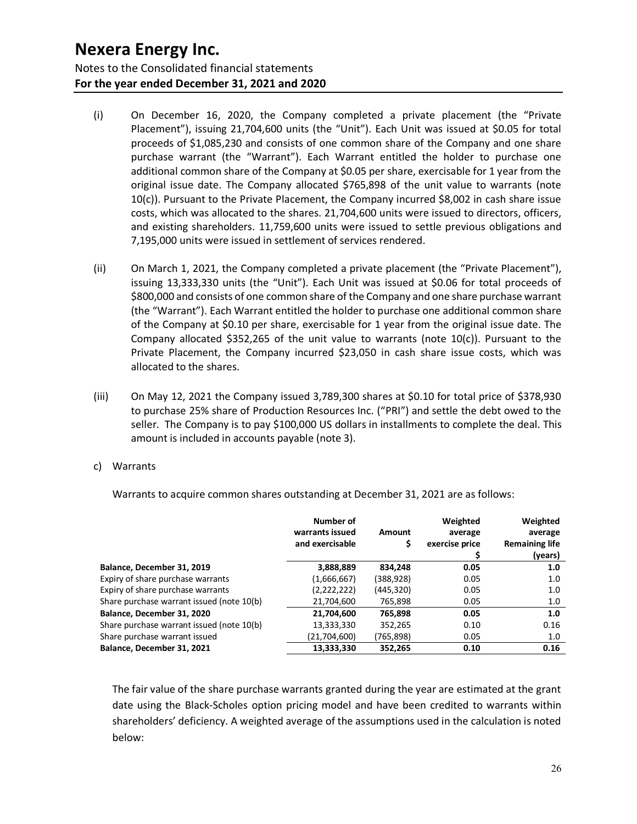Notes to the Consolidated financial statements **For the year ended December 31, 2021 and 2020**

- (i) On December 16, 2020, the Company completed a private placement (the "Private Placement"), issuing 21,704,600 units (the "Unit"). Each Unit was issued at \$0.05 for total proceeds of \$1,085,230 and consists of one common share of the Company and one share purchase warrant (the "Warrant"). Each Warrant entitled the holder to purchase one additional common share of the Company at \$0.05 per share, exercisable for 1 year from the original issue date. The Company allocated \$765,898 of the unit value to warrants (note 10(c)). Pursuant to the Private Placement, the Company incurred \$8,002 in cash share issue costs, which was allocated to the shares. 21,704,600 units were issued to directors, officers, and existing shareholders. 11,759,600 units were issued to settle previous obligations and 7,195,000 units were issued in settlement of services rendered.
- (ii) On March 1, 2021, the Company completed a private placement (the "Private Placement"), issuing 13,333,330 units (the "Unit"). Each Unit was issued at \$0.06 for total proceeds of \$800,000 and consists of one common share of the Company and one share purchase warrant (the "Warrant"). Each Warrant entitled the holder to purchase one additional common share of the Company at \$0.10 per share, exercisable for 1 year from the original issue date. The Company allocated \$352,265 of the unit value to warrants (note  $10(c)$ ). Pursuant to the Private Placement, the Company incurred \$23,050 in cash share issue costs, which was allocated to the shares.
- (iii) On May 12, 2021 the Company issued 3,789,300 shares at \$0.10 for total price of \$378,930 to purchase 25% share of Production Resources Inc. ("PRI") and settle the debt owed to the seller. The Company is to pay \$100,000 US dollars in installments to complete the deal. This amount is included in accounts payable (note 3).

#### c) Warrants

Warrants to acquire common shares outstanding at December 31, 2021 are as follows:

|                                           | Number of<br>warrants issued<br>and exercisable | Amount<br>\$ | Weighted<br>average<br>exercise price | Weighted<br>average<br><b>Remaining life</b><br>(years) |
|-------------------------------------------|-------------------------------------------------|--------------|---------------------------------------|---------------------------------------------------------|
| Balance, December 31, 2019                | 3,888,889                                       | 834,248      | 0.05                                  | 1.0                                                     |
| Expiry of share purchase warrants         | (1,666,667)                                     | (388,928)    | 0.05                                  | 1.0                                                     |
| Expiry of share purchase warrants         | (2,222,222)                                     | (445,320)    | 0.05                                  | 1.0                                                     |
| Share purchase warrant issued (note 10(b) | 21,704,600                                      | 765,898      | 0.05                                  | 1.0                                                     |
| Balance, December 31, 2020                | 21,704,600                                      | 765,898      | 0.05                                  | 1.0                                                     |
| Share purchase warrant issued (note 10(b) | 13,333,330                                      | 352,265      | 0.10                                  | 0.16                                                    |
| Share purchase warrant issued             | (21,704,600)                                    | (765,898)    | 0.05                                  | 1.0                                                     |
| Balance, December 31, 2021                | 13,333,330                                      | 352,265      | 0.10                                  | 0.16                                                    |

The fair value of the share purchase warrants granted during the year are estimated at the grant date using the Black-Scholes option pricing model and have been credited to warrants within shareholders' deficiency. A weighted average of the assumptions used in the calculation is noted below: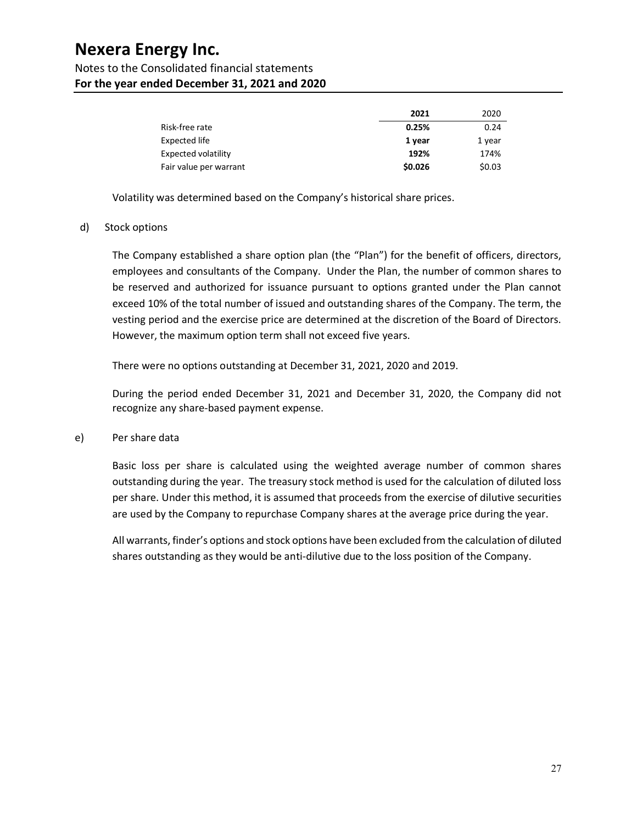### Notes to the Consolidated financial statements **For the year ended December 31, 2021 and 2020**

|                            | 2021    | 2020   |
|----------------------------|---------|--------|
| Risk-free rate             | 0.25%   | 0.24   |
| Expected life              | 1 year  | 1 year |
| <b>Expected volatility</b> | 192%    | 174%   |
| Fair value per warrant     | \$0.026 | \$0.03 |

Volatility was determined based on the Company's historical share prices.

#### d) Stock options

The Company established a share option plan (the "Plan") for the benefit of officers, directors, employees and consultants of the Company. Under the Plan, the number of common shares to be reserved and authorized for issuance pursuant to options granted under the Plan cannot exceed 10% of the total number of issued and outstanding shares of the Company. The term, the vesting period and the exercise price are determined at the discretion of the Board of Directors. However, the maximum option term shall not exceed five years.

There were no options outstanding at December 31, 2021, 2020 and 2019.

During the period ended December 31, 2021 and December 31, 2020, the Company did not recognize any share-based payment expense.

#### e) Per share data

Basic loss per share is calculated using the weighted average number of common shares outstanding during the year. The treasury stock method is used for the calculation of diluted loss per share. Under this method, it is assumed that proceeds from the exercise of dilutive securities are used by the Company to repurchase Company shares at the average price during the year.

All warrants, finder's options and stock options have been excluded from the calculation of diluted shares outstanding as they would be anti-dilutive due to the loss position of the Company.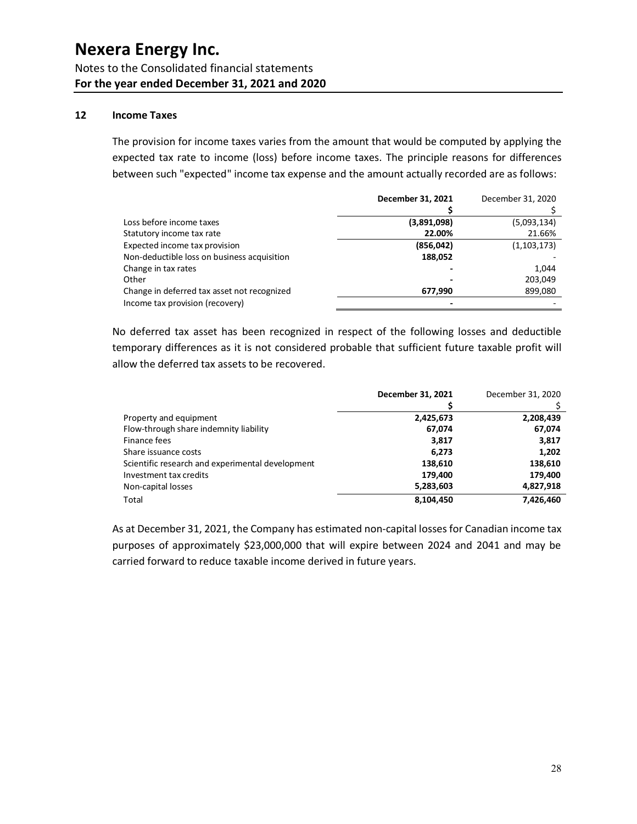## Notes to the Consolidated financial statements **For the year ended December 31, 2021 and 2020**

### **12 Income Taxes**

The provision for income taxes varies from the amount that would be computed by applying the expected tax rate to income (loss) before income taxes. The principle reasons for differences between such "expected" income tax expense and the amount actually recorded are as follows:

|                                             | December 31, 2021 | December 31, 2020 |
|---------------------------------------------|-------------------|-------------------|
|                                             |                   |                   |
| Loss before income taxes                    | (3,891,098)       | (5,093,134)       |
| Statutory income tax rate                   | 22.00%            | 21.66%            |
| Expected income tax provision               | (856, 042)        | (1, 103, 173)     |
| Non-deductible loss on business acquisition | 188,052           |                   |
| Change in tax rates                         |                   | 1,044             |
| Other                                       |                   | 203,049           |
| Change in deferred tax asset not recognized | 677,990           | 899,080           |
| Income tax provision (recovery)             |                   |                   |

No deferred tax asset has been recognized in respect of the following losses and deductible temporary differences as it is not considered probable that sufficient future taxable profit will allow the deferred tax assets to be recovered.

|                                                  | December 31, 2021 | December 31, 2020 |
|--------------------------------------------------|-------------------|-------------------|
|                                                  |                   |                   |
| Property and equipment                           | 2,425,673         | 2,208,439         |
| Flow-through share indemnity liability           | 67,074            | 67,074            |
| Finance fees                                     | 3,817             | 3,817             |
| Share issuance costs                             | 6,273             | 1,202             |
| Scientific research and experimental development | 138,610           | 138,610           |
| Investment tax credits                           | 179,400           | 179,400           |
| Non-capital losses                               | 5,283,603         | 4,827,918         |
| Total                                            | 8,104,450         | 7,426,460         |

As at December 31, 2021, the Company has estimated non-capital losses for Canadian income tax purposes of approximately \$23,000,000 that will expire between 2024 and 2041 and may be carried forward to reduce taxable income derived in future years.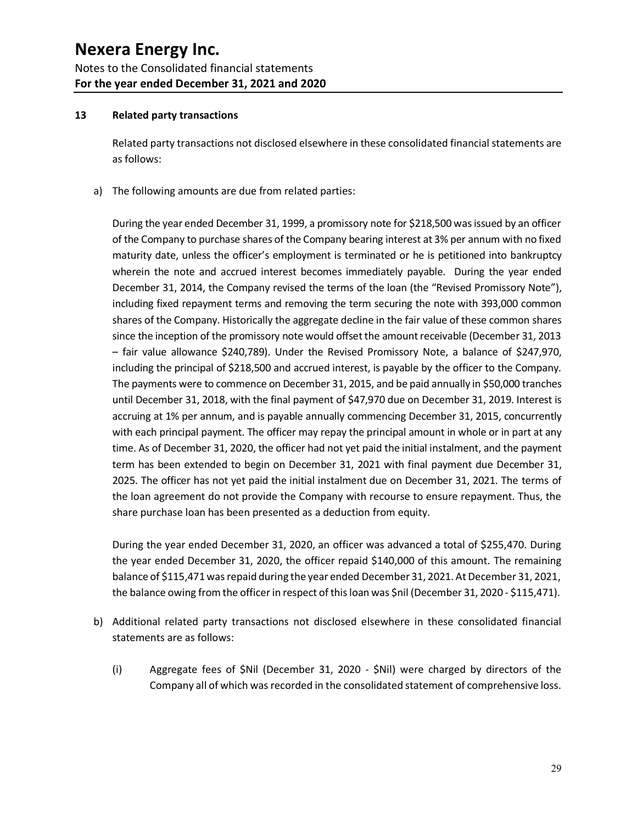## Notes to the Consolidated financial statements **For the year ended December 31, 2021 and 2020**

### **13 Related party transactions**

Related party transactions not disclosed elsewhere in these consolidated financial statements are as follows:

a) The following amounts are due from related parties:

During the year ended December 31, 1999, a promissory note for \$218,500 was issued by an officer of the Company to purchase shares of the Company bearing interest at 3% per annum with no fixed maturity date, unless the officer's employment is terminated or he is petitioned into bankruptcy wherein the note and accrued interest becomes immediately payable. During the year ended December 31, 2014, the Company revised the terms of the loan (the "Revised Promissory Note"), including fixed repayment terms and removing the term securing the note with 393,000 common shares of the Company. Historically the aggregate decline in the fair value of these common shares since the inception of the promissory note would offset the amount receivable (December 31, 2013 – fair value allowance \$240,789). Under the Revised Promissory Note, a balance of \$247,970, including the principal of \$218,500 and accrued interest, is payable by the officer to the Company. The payments were to commence on December 31, 2015, and be paid annually in \$50,000 tranches until December 31, 2018, with the final payment of \$47,970 due on December 31, 2019. Interest is accruing at 1% per annum, and is payable annually commencing December 31, 2015, concurrently with each principal payment. The officer may repay the principal amount in whole or in part at any time. As of December 31, 2020, the officer had not yet paid the initial instalment, and the payment term has been extended to begin on December 31, 2021 with final payment due December 31, 2025. The officer has not yet paid the initial instalment due on December 31, 2021. The terms of the loan agreement do not provide the Company with recourse to ensure repayment. Thus, the share purchase loan has been presented as a deduction from equity.

During the year ended December 31, 2020, an officer was advanced a total of \$255,470. During the year ended December 31, 2020, the officer repaid \$140,000 of this amount. The remaining balance of \$115,471 was repaid during the year ended December 31, 2021. At December 31, 2021, the balance owing from the officer in respect of this loan was \$nil (December 31, 2020 - \$115,471).

- b) Additional related party transactions not disclosed elsewhere in these consolidated financial statements are as follows:
	- (i) Aggregate fees of \$Nil (December 31, 2020 \$Nil) were charged by directors of the Company all of which was recorded in the consolidated statement of comprehensive loss.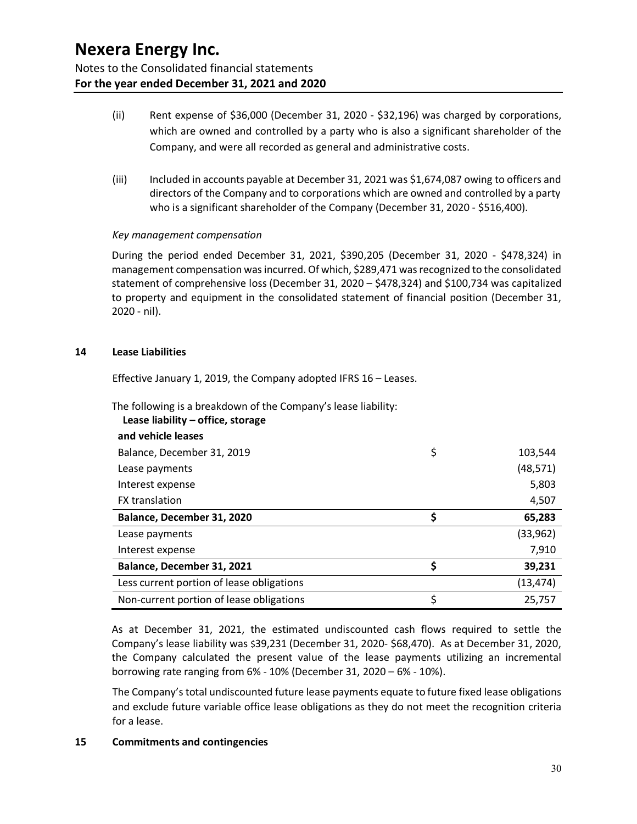## Notes to the Consolidated financial statements **For the year ended December 31, 2021 and 2020**

- (ii) Rent expense of \$36,000 (December 31, 2020 \$32,196) was charged by corporations, which are owned and controlled by a party who is also a significant shareholder of the Company, and were all recorded as general and administrative costs.
- (iii) Included in accounts payable at December 31, 2021 was \$1,674,087 owing to officers and directors of the Company and to corporations which are owned and controlled by a party who is a significant shareholder of the Company (December 31, 2020 - \$516,400).

### *Key management compensation*

During the period ended December 31, 2021, \$390,205 (December 31, 2020 - \$478,324) in management compensation was incurred. Of which, \$289,471 was recognized to the consolidated statement of comprehensive loss (December 31, 2020 – \$478,324) and \$100,734 was capitalized to property and equipment in the consolidated statement of financial position (December 31, 2020 - nil).

#### **14 Lease Liabilities**

Effective January 1, 2019, the Company adopted IFRS 16 – Leases.

The following is a breakdown of the Company's lease liability:

| Lease liability - office, storage         |               |
|-------------------------------------------|---------------|
| and vehicle leases                        |               |
| Balance, December 31, 2019                | \$<br>103,544 |
| Lease payments                            | (48, 571)     |
| Interest expense                          | 5,803         |
| <b>FX</b> translation                     | 4,507         |
|                                           |               |
| Balance, December 31, 2020                | \$<br>65,283  |
| Lease payments                            | (33, 962)     |
| Interest expense                          | 7,910         |
| Balance, December 31, 2021                | \$<br>39,231  |
| Less current portion of lease obligations | (13, 474)     |

As at December 31, 2021, the estimated undiscounted cash flows required to settle the Company's lease liability was \$39,231 (December 31, 2020- \$68,470). As at December 31, 2020, the Company calculated the present value of the lease payments utilizing an incremental borrowing rate ranging from 6% - 10% (December 31, 2020 – 6% - 10%).

The Company's total undiscounted future lease payments equate to future fixed lease obligations and exclude future variable office lease obligations as they do not meet the recognition criteria for a lease.

#### **15 Commitments and contingencies**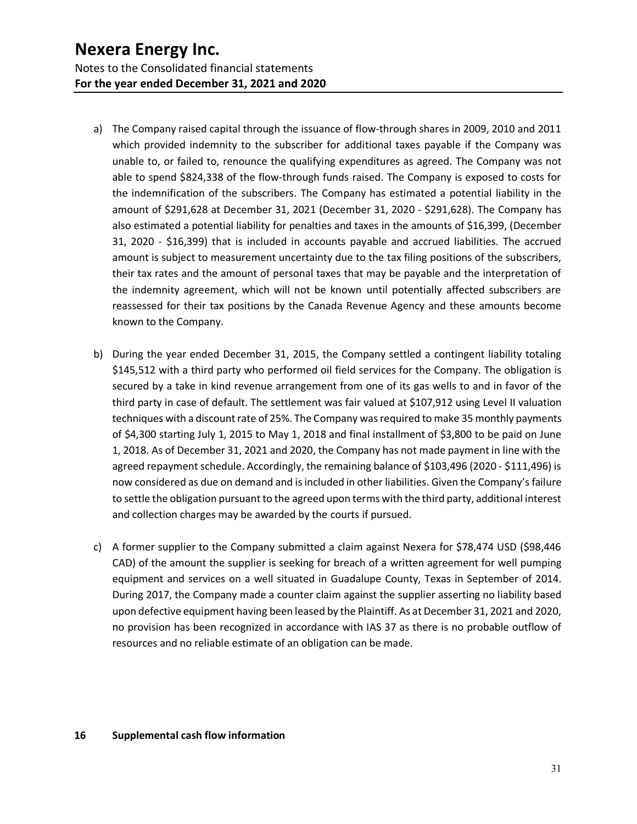- a) The Company raised capital through the issuance of flow-through shares in 2009, 2010 and 2011 which provided indemnity to the subscriber for additional taxes payable if the Company was unable to, or failed to, renounce the qualifying expenditures as agreed. The Company was not able to spend \$824,338 of the flow-through funds raised. The Company is exposed to costs for the indemnification of the subscribers. The Company has estimated a potential liability in the amount of \$291,628 at December 31, 2021 (December 31, 2020 - \$291,628). The Company has also estimated a potential liability for penalties and taxes in the amounts of \$16,399, (December 31, 2020 - \$16,399) that is included in accounts payable and accrued liabilities. The accrued amount is subject to measurement uncertainty due to the tax filing positions of the subscribers, their tax rates and the amount of personal taxes that may be payable and the interpretation of the indemnity agreement, which will not be known until potentially affected subscribers are reassessed for their tax positions by the Canada Revenue Agency and these amounts become known to the Company.
- b) During the year ended December 31, 2015, the Company settled a contingent liability totaling \$145,512 with a third party who performed oil field services for the Company. The obligation is secured by a take in kind revenue arrangement from one of its gas wells to and in favor of the third party in case of default. The settlement was fair valued at \$107,912 using Level II valuation techniques with a discount rate of 25%. The Company was required to make 35 monthly payments of \$4,300 starting July 1, 2015 to May 1, 2018 and final installment of \$3,800 to be paid on June 1, 2018. As of December 31, 2021 and 2020, the Company has not made payment in line with the agreed repayment schedule. Accordingly, the remaining balance of \$103,496 (2020 - \$111,496) is now considered as due on demand and is included in other liabilities. Given the Company's failure to settle the obligation pursuant to the agreed upon terms with the third party, additional interest and collection charges may be awarded by the courts if pursued.
- c) A former supplier to the Company submitted a claim against Nexera for \$78,474 USD (\$98,446 CAD) of the amount the supplier is seeking for breach of a written agreement for well pumping equipment and services on a well situated in Guadalupe County, Texas in September of 2014. During 2017, the Company made a counter claim against the supplier asserting no liability based upon defective equipment having been leased by the Plaintiff. As at December 31, 2021 and 2020, no provision has been recognized in accordance with IAS 37 as there is no probable outflow of resources and no reliable estimate of an obligation can be made.

#### **16 Supplemental cash flow information**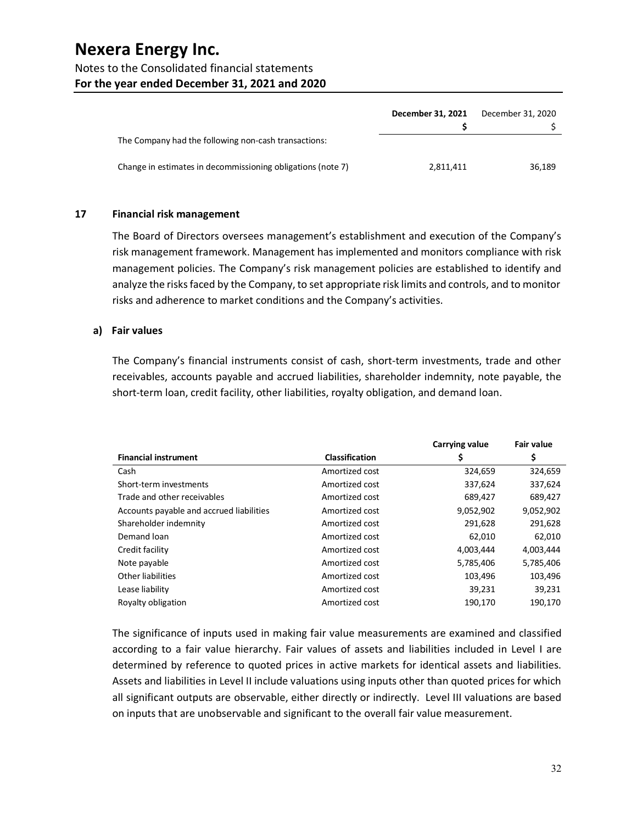Notes to the Consolidated financial statements **For the year ended December 31, 2021 and 2020**

|                                                             | December 31, 2021 | December 31, 2020 |
|-------------------------------------------------------------|-------------------|-------------------|
| The Company had the following non-cash transactions:        |                   |                   |
| Change in estimates in decommissioning obligations (note 7) | 2,811,411         | 36,189            |

#### **17 Financial risk management**

The Board of Directors oversees management's establishment and execution of the Company's risk management framework. Management has implemented and monitors compliance with risk management policies. The Company's risk management policies are established to identify and analyze the risks faced by the Company, to set appropriate risk limits and controls, and to monitor risks and adherence to market conditions and the Company's activities.

#### **a) Fair values**

The Company's financial instruments consist of cash, short-term investments, trade and other receivables, accounts payable and accrued liabilities, shareholder indemnity, note payable, the short-term loan, credit facility, other liabilities, royalty obligation, and demand loan.

|                                          |                       | Carrying value | <b>Fair value</b> |
|------------------------------------------|-----------------------|----------------|-------------------|
| <b>Financial instrument</b>              | <b>Classification</b> | \$             | \$                |
| Cash                                     | Amortized cost        | 324,659        | 324,659           |
| Short-term investments                   | Amortized cost        | 337,624        | 337,624           |
| Trade and other receivables              | Amortized cost        | 689,427        | 689,427           |
| Accounts payable and accrued liabilities | Amortized cost        | 9,052,902      | 9,052,902         |
| Shareholder indemnity                    | Amortized cost        | 291,628        | 291,628           |
| Demand loan                              | Amortized cost        | 62,010         | 62,010            |
| Credit facility                          | Amortized cost        | 4,003,444      | 4,003,444         |
| Note payable                             | Amortized cost        | 5,785,406      | 5,785,406         |
| Other liabilities                        | Amortized cost        | 103,496        | 103,496           |
| Lease liability                          | Amortized cost        | 39,231         | 39,231            |
| Royalty obligation                       | Amortized cost        | 190,170        | 190,170           |
|                                          |                       |                |                   |

The significance of inputs used in making fair value measurements are examined and classified according to a fair value hierarchy. Fair values of assets and liabilities included in Level I are determined by reference to quoted prices in active markets for identical assets and liabilities. Assets and liabilities in Level II include valuations using inputs other than quoted prices for which all significant outputs are observable, either directly or indirectly. Level III valuations are based on inputs that are unobservable and significant to the overall fair value measurement.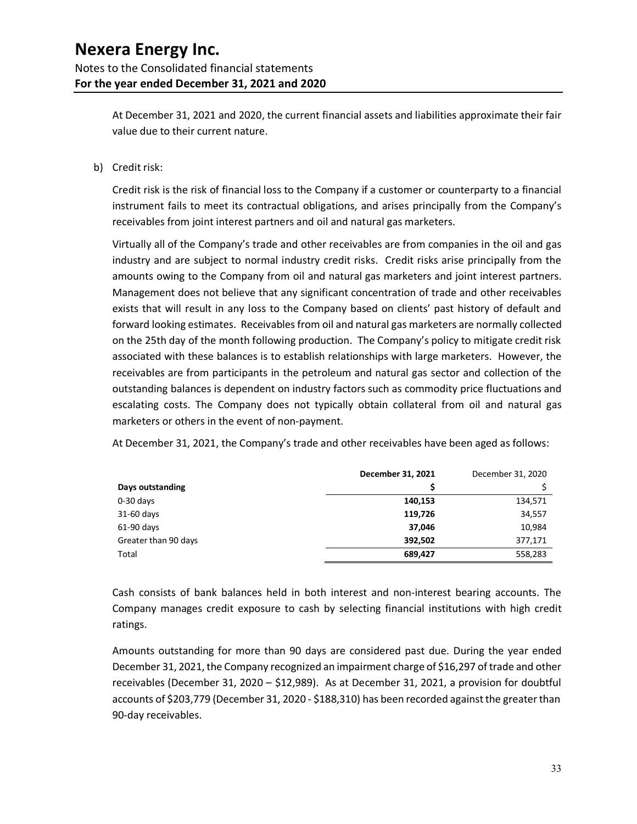### Notes to the Consolidated financial statements **For the year ended December 31, 2021 and 2020**

At December 31, 2021 and 2020, the current financial assets and liabilities approximate their fair value due to their current nature.

b) Credit risk:

Credit risk is the risk of financial loss to the Company if a customer or counterparty to a financial instrument fails to meet its contractual obligations, and arises principally from the Company's receivables from joint interest partners and oil and natural gas marketers.

Virtually all of the Company's trade and other receivables are from companies in the oil and gas industry and are subject to normal industry credit risks. Credit risks arise principally from the amounts owing to the Company from oil and natural gas marketers and joint interest partners. Management does not believe that any significant concentration of trade and other receivables exists that will result in any loss to the Company based on clients' past history of default and forward looking estimates. Receivables from oil and natural gas marketers are normally collected on the 25th day of the month following production. The Company's policy to mitigate credit risk associated with these balances is to establish relationships with large marketers. However, the receivables are from participants in the petroleum and natural gas sector and collection of the outstanding balances is dependent on industry factors such as commodity price fluctuations and escalating costs. The Company does not typically obtain collateral from oil and natural gas marketers or others in the event of non-payment.

At December 31, 2021, the Company's trade and other receivables have been aged as follows:

|                      | December 31, 2021 | December 31, 2020 |
|----------------------|-------------------|-------------------|
| Days outstanding     |                   |                   |
| $0-30$ days          | 140,153           | 134,571           |
| 31-60 days           | 119,726           | 34,557            |
| 61-90 days           | 37,046            | 10,984            |
| Greater than 90 days | 392,502           | 377,171           |
| Total                | 689,427           | 558,283           |

Cash consists of bank balances held in both interest and non-interest bearing accounts. The Company manages credit exposure to cash by selecting financial institutions with high credit ratings.

Amounts outstanding for more than 90 days are considered past due. During the year ended December 31, 2021, the Company recognized an impairment charge of \$16,297 of trade and other receivables (December 31, 2020 – \$12,989). As at December 31, 2021, a provision for doubtful accounts of \$203,779 (December 31, 2020 - \$188,310) has been recorded against the greater than 90-day receivables.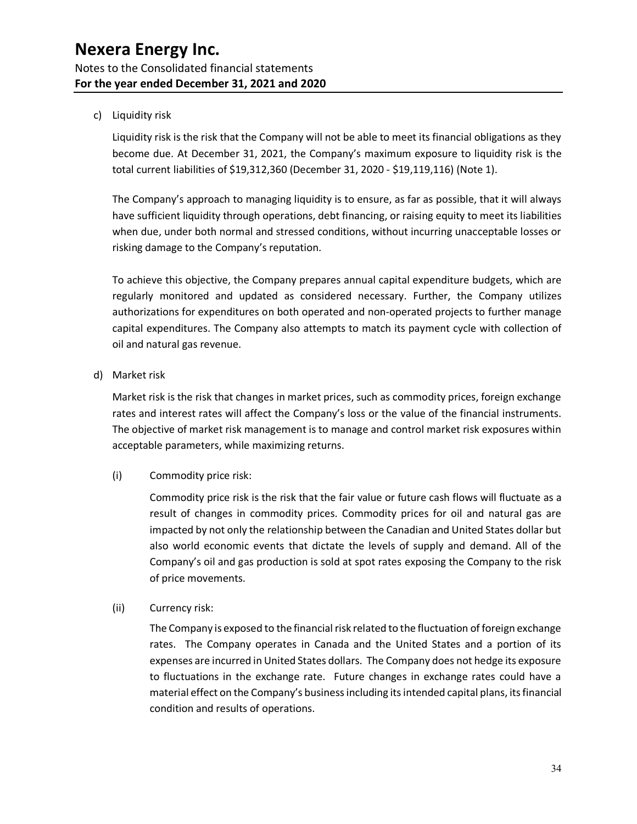### c) Liquidity risk

Liquidity risk is the risk that the Company will not be able to meet its financial obligations as they become due. At December 31, 2021, the Company's maximum exposure to liquidity risk is the total current liabilities of \$19,312,360 (December 31, 2020 - \$19,119,116) (Note 1).

The Company's approach to managing liquidity is to ensure, as far as possible, that it will always have sufficient liquidity through operations, debt financing, or raising equity to meet its liabilities when due, under both normal and stressed conditions, without incurring unacceptable losses or risking damage to the Company's reputation.

To achieve this objective, the Company prepares annual capital expenditure budgets, which are regularly monitored and updated as considered necessary. Further, the Company utilizes authorizations for expenditures on both operated and non-operated projects to further manage capital expenditures. The Company also attempts to match its payment cycle with collection of oil and natural gas revenue.

d) Market risk

Market risk is the risk that changes in market prices, such as commodity prices, foreign exchange rates and interest rates will affect the Company's loss or the value of the financial instruments. The objective of market risk management is to manage and control market risk exposures within acceptable parameters, while maximizing returns.

### (i) Commodity price risk:

Commodity price risk is the risk that the fair value or future cash flows will fluctuate as a result of changes in commodity prices. Commodity prices for oil and natural gas are impacted by not only the relationship between the Canadian and United States dollar but also world economic events that dictate the levels of supply and demand. All of the Company's oil and gas production is sold at spot rates exposing the Company to the risk of price movements.

### (ii) Currency risk:

The Company is exposed to the financial risk related to the fluctuation of foreign exchange rates. The Company operates in Canada and the United States and a portion of its expenses are incurred in United States dollars. The Company does not hedge its exposure to fluctuations in the exchange rate. Future changes in exchange rates could have a material effect on the Company's business including its intended capital plans, its financial condition and results of operations.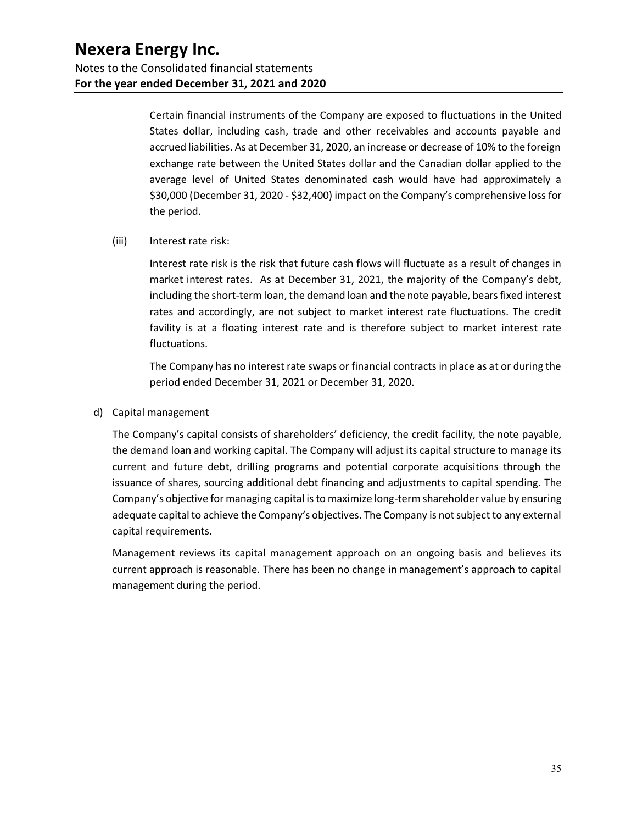## Notes to the Consolidated financial statements **For the year ended December 31, 2021 and 2020**

Certain financial instruments of the Company are exposed to fluctuations in the United States dollar, including cash, trade and other receivables and accounts payable and accrued liabilities. As at December 31, 2020, an increase or decrease of 10% to the foreign exchange rate between the United States dollar and the Canadian dollar applied to the average level of United States denominated cash would have had approximately a \$30,000 (December 31, 2020 - \$32,400) impact on the Company's comprehensive loss for the period.

### (iii) Interest rate risk:

Interest rate risk is the risk that future cash flows will fluctuate as a result of changes in market interest rates. As at December 31, 2021, the majority of the Company's debt, including the short-term loan, the demand loan and the note payable, bears fixed interest rates and accordingly, are not subject to market interest rate fluctuations. The credit favility is at a floating interest rate and is therefore subject to market interest rate fluctuations.

The Company has no interest rate swaps or financial contracts in place as at or during the period ended December 31, 2021 or December 31, 2020.

### d) Capital management

The Company's capital consists of shareholders' deficiency, the credit facility, the note payable, the demand loan and working capital. The Company will adjust its capital structure to manage its current and future debt, drilling programs and potential corporate acquisitions through the issuance of shares, sourcing additional debt financing and adjustments to capital spending. The Company's objective for managing capital is to maximize long-term shareholder value by ensuring adequate capital to achieve the Company's objectives. The Company is not subject to any external capital requirements.

Management reviews its capital management approach on an ongoing basis and believes its current approach is reasonable. There has been no change in management's approach to capital management during the period.